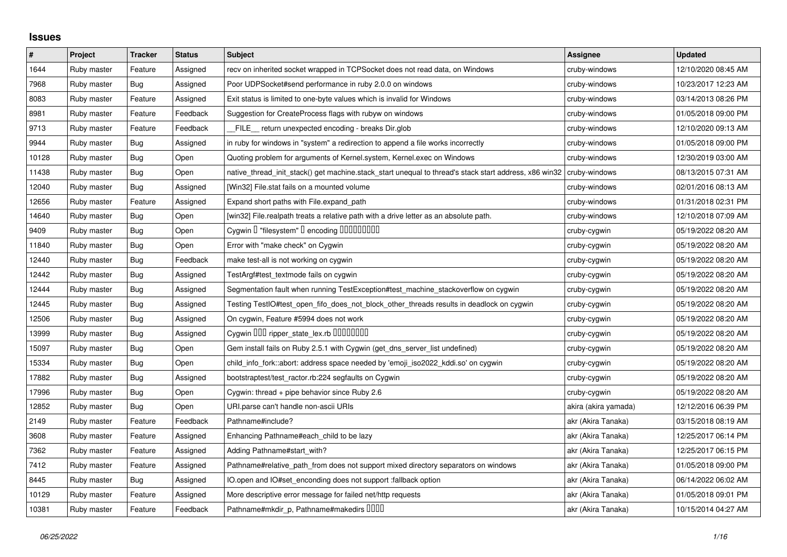## **Issues**

| $\vert$ # | Project     | <b>Tracker</b> | <b>Status</b> | <b>Subject</b>                                                                                        | <b>Assignee</b>      | <b>Updated</b>      |
|-----------|-------------|----------------|---------------|-------------------------------------------------------------------------------------------------------|----------------------|---------------------|
| 1644      | Ruby master | Feature        | Assigned      | recv on inherited socket wrapped in TCPSocket does not read data, on Windows                          | cruby-windows        | 12/10/2020 08:45 AM |
| 7968      | Ruby master | Bug            | Assigned      | Poor UDPSocket#send performance in ruby 2.0.0 on windows                                              | cruby-windows        | 10/23/2017 12:23 AM |
| 8083      | Ruby master | Feature        | Assigned      | Exit status is limited to one-byte values which is invalid for Windows                                | cruby-windows        | 03/14/2013 08:26 PM |
| 8981      | Ruby master | Feature        | Feedback      | Suggestion for CreateProcess flags with rubyw on windows                                              | cruby-windows        | 01/05/2018 09:00 PM |
| 9713      | Ruby master | Feature        | Feedback      | FILE_ return unexpected encoding - breaks Dir.glob                                                    | cruby-windows        | 12/10/2020 09:13 AM |
| 9944      | Ruby master | <b>Bug</b>     | Assigned      | in ruby for windows in "system" a redirection to append a file works incorrectly                      | cruby-windows        | 01/05/2018 09:00 PM |
| 10128     | Ruby master | <b>Bug</b>     | Open          | Quoting problem for arguments of Kernel.system, Kernel.exec on Windows                                | cruby-windows        | 12/30/2019 03:00 AM |
| 11438     | Ruby master | <b>Bug</b>     | Open          | native_thread_init_stack() get machine.stack_start unequal to thread's stack start address, x86 win32 | cruby-windows        | 08/13/2015 07:31 AM |
| 12040     | Ruby master | <b>Bug</b>     | Assigned      | [Win32] File.stat fails on a mounted volume                                                           | cruby-windows        | 02/01/2016 08:13 AM |
| 12656     | Ruby master | Feature        | Assigned      | Expand short paths with File.expand_path                                                              | cruby-windows        | 01/31/2018 02:31 PM |
| 14640     | Ruby master | <b>Bug</b>     | Open          | [win32] File.realpath treats a relative path with a drive letter as an absolute path.                 | cruby-windows        | 12/10/2018 07:09 AM |
| 9409      | Ruby master | <b>Bug</b>     | Open          | Cygwin I "filesystem" I encoding IIIIIIIIIIIII                                                        | cruby-cygwin         | 05/19/2022 08:20 AM |
| 11840     | Ruby master | <b>Bug</b>     | Open          | Error with "make check" on Cygwin                                                                     | cruby-cygwin         | 05/19/2022 08:20 AM |
| 12440     | Ruby master | Bug            | Feedback      | make test-all is not working on cygwin                                                                | cruby-cygwin         | 05/19/2022 08:20 AM |
| 12442     | Ruby master | <b>Bug</b>     | Assigned      | TestArgf#test_textmode fails on cygwin                                                                | cruby-cygwin         | 05/19/2022 08:20 AM |
| 12444     | Ruby master | <b>Bug</b>     | Assigned      | Segmentation fault when running TestException#test_machine_stackoverflow on cygwin                    | cruby-cygwin         | 05/19/2022 08:20 AM |
| 12445     | Ruby master | Bug            | Assigned      | Testing TestIO#test_open_fifo_does_not_block_other_threads results in deadlock on cygwin              | cruby-cygwin         | 05/19/2022 08:20 AM |
| 12506     | Ruby master | <b>Bug</b>     | Assigned      | On cygwin, Feature #5994 does not work                                                                | cruby-cygwin         | 05/19/2022 08:20 AM |
| 13999     | Ruby master | <b>Bug</b>     | Assigned      | Cygwin DDD ripper_state_lex.rb DDDDDDDD                                                               | cruby-cygwin         | 05/19/2022 08:20 AM |
| 15097     | Ruby master | <b>Bug</b>     | Open          | Gem install fails on Ruby 2.5.1 with Cygwin (get_dns_server_list undefined)                           | cruby-cygwin         | 05/19/2022 08:20 AM |
| 15334     | Ruby master | <b>Bug</b>     | Open          | child_info_fork::abort: address space needed by 'emoji_iso2022_kddi.so' on cygwin                     | cruby-cygwin         | 05/19/2022 08:20 AM |
| 17882     | Ruby master | <b>Bug</b>     | Assigned      | bootstraptest/test_ractor.rb:224 segfaults on Cygwin                                                  | cruby-cygwin         | 05/19/2022 08:20 AM |
| 17996     | Ruby master | <b>Bug</b>     | Open          | Cygwin: thread + pipe behavior since Ruby 2.6                                                         | cruby-cygwin         | 05/19/2022 08:20 AM |
| 12852     | Ruby master | <b>Bug</b>     | Open          | URI.parse can't handle non-ascii URIs                                                                 | akira (akira yamada) | 12/12/2016 06:39 PM |
| 2149      | Ruby master | Feature        | Feedback      | Pathname#include?                                                                                     | akr (Akira Tanaka)   | 03/15/2018 08:19 AM |
| 3608      | Ruby master | Feature        | Assigned      | Enhancing Pathname#each_child to be lazy                                                              | akr (Akira Tanaka)   | 12/25/2017 06:14 PM |
| 7362      | Ruby master | Feature        | Assigned      | Adding Pathname#start_with?                                                                           | akr (Akira Tanaka)   | 12/25/2017 06:15 PM |
| 7412      | Ruby master | Feature        | Assigned      | Pathname#relative_path_from does not support mixed directory separators on windows                    | akr (Akira Tanaka)   | 01/05/2018 09:00 PM |
| 8445      | Ruby master | <b>Bug</b>     | Assigned      | IO.open and IO#set_enconding does not support : fallback option                                       | akr (Akira Tanaka)   | 06/14/2022 06:02 AM |
| 10129     | Ruby master | Feature        | Assigned      | More descriptive error message for failed net/http requests                                           | akr (Akira Tanaka)   | 01/05/2018 09:01 PM |
| 10381     | Ruby master | Feature        | Feedback      | Pathname#mkdir_p, Pathname#makedirs IIIII                                                             | akr (Akira Tanaka)   | 10/15/2014 04:27 AM |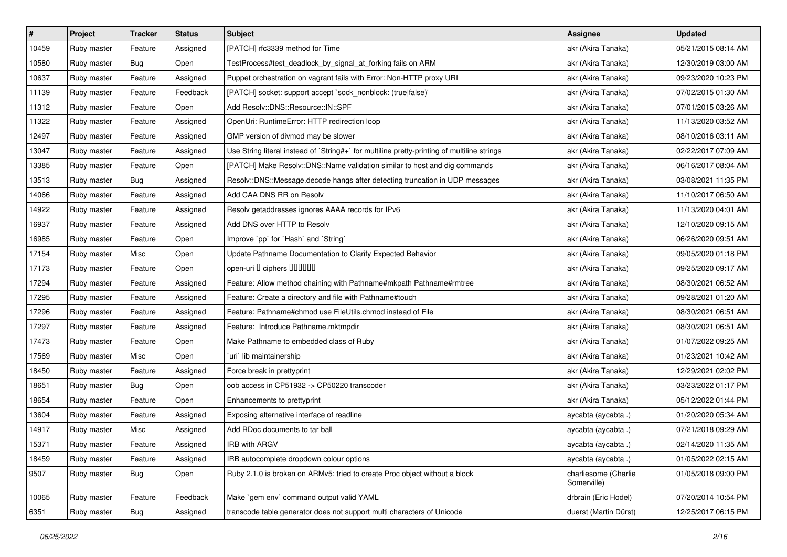| $\vert$ # | Project     | <b>Tracker</b> | <b>Status</b> | <b>Subject</b>                                                                              | <b>Assignee</b>                     | <b>Updated</b>      |
|-----------|-------------|----------------|---------------|---------------------------------------------------------------------------------------------|-------------------------------------|---------------------|
| 10459     | Ruby master | Feature        | Assigned      | [PATCH] rfc3339 method for Time                                                             | akr (Akira Tanaka)                  | 05/21/2015 08:14 AM |
| 10580     | Ruby master | <b>Bug</b>     | Open          | TestProcess#test_deadlock_by_signal_at_forking fails on ARM                                 | akr (Akira Tanaka)                  | 12/30/2019 03:00 AM |
| 10637     | Ruby master | Feature        | Assigned      | Puppet orchestration on vagrant fails with Error: Non-HTTP proxy URI                        | akr (Akira Tanaka)                  | 09/23/2020 10:23 PM |
| 11139     | Ruby master | Feature        | Feedback      | [PATCH] socket: support accept `sock_nonblock: (true false)'                                | akr (Akira Tanaka)                  | 07/02/2015 01:30 AM |
| 11312     | Ruby master | Feature        | Open          | Add Resolv::DNS::Resource::IN::SPF                                                          | akr (Akira Tanaka)                  | 07/01/2015 03:26 AM |
| 11322     | Ruby master | Feature        | Assigned      | OpenUri: RuntimeError: HTTP redirection loop                                                | akr (Akira Tanaka)                  | 11/13/2020 03:52 AM |
| 12497     | Ruby master | Feature        | Assigned      | GMP version of divmod may be slower                                                         | akr (Akira Tanaka)                  | 08/10/2016 03:11 AM |
| 13047     | Ruby master | Feature        | Assigned      | Use String literal instead of `String#+` for multiline pretty-printing of multiline strings | akr (Akira Tanaka)                  | 02/22/2017 07:09 AM |
| 13385     | Ruby master | Feature        | Open          | [PATCH] Make Resolv::DNS::Name validation similar to host and dig commands                  | akr (Akira Tanaka)                  | 06/16/2017 08:04 AM |
| 13513     | Ruby master | Bug            | Assigned      | Resolv::DNS::Message.decode hangs after detecting truncation in UDP messages                | akr (Akira Tanaka)                  | 03/08/2021 11:35 PM |
| 14066     | Ruby master | Feature        | Assigned      | Add CAA DNS RR on Resolv                                                                    | akr (Akira Tanaka)                  | 11/10/2017 06:50 AM |
| 14922     | Ruby master | Feature        | Assigned      | Resolv getaddresses ignores AAAA records for IPv6                                           | akr (Akira Tanaka)                  | 11/13/2020 04:01 AM |
| 16937     | Ruby master | Feature        | Assigned      | Add DNS over HTTP to Resolv                                                                 | akr (Akira Tanaka)                  | 12/10/2020 09:15 AM |
| 16985     | Ruby master | Feature        | Open          | Improve `pp` for `Hash` and `String`                                                        | akr (Akira Tanaka)                  | 06/26/2020 09:51 AM |
| 17154     | Ruby master | Misc           | Open          | Update Pathname Documentation to Clarify Expected Behavior                                  | akr (Akira Tanaka)                  | 09/05/2020 01:18 PM |
| 17173     | Ruby master | Feature        | Open          | open-uri I ciphers IIIIIIII                                                                 | akr (Akira Tanaka)                  | 09/25/2020 09:17 AM |
| 17294     | Ruby master | Feature        | Assigned      | Feature: Allow method chaining with Pathname#mkpath Pathname#rmtree                         | akr (Akira Tanaka)                  | 08/30/2021 06:52 AM |
| 17295     | Ruby master | Feature        | Assigned      | Feature: Create a directory and file with Pathname#touch                                    | akr (Akira Tanaka)                  | 09/28/2021 01:20 AM |
| 17296     | Ruby master | Feature        | Assigned      | Feature: Pathname#chmod use FileUtils.chmod instead of File                                 | akr (Akira Tanaka)                  | 08/30/2021 06:51 AM |
| 17297     | Ruby master | Feature        | Assigned      | Feature: Introduce Pathname.mktmpdir                                                        | akr (Akira Tanaka)                  | 08/30/2021 06:51 AM |
| 17473     | Ruby master | Feature        | Open          | Make Pathname to embedded class of Ruby                                                     | akr (Akira Tanaka)                  | 01/07/2022 09:25 AM |
| 17569     | Ruby master | Misc           | Open          | uri lib maintainership                                                                      | akr (Akira Tanaka)                  | 01/23/2021 10:42 AM |
| 18450     | Ruby master | Feature        | Assigned      | Force break in prettyprint                                                                  | akr (Akira Tanaka)                  | 12/29/2021 02:02 PM |
| 18651     | Ruby master | <b>Bug</b>     | Open          | oob access in CP51932 -> CP50220 transcoder                                                 | akr (Akira Tanaka)                  | 03/23/2022 01:17 PM |
| 18654     | Ruby master | Feature        | Open          | Enhancements to prettyprint                                                                 | akr (Akira Tanaka)                  | 05/12/2022 01:44 PM |
| 13604     | Ruby master | Feature        | Assigned      | Exposing alternative interface of readline                                                  | aycabta (aycabta.)                  | 01/20/2020 05:34 AM |
| 14917     | Ruby master | Misc           | Assigned      | Add RDoc documents to tar ball                                                              | aycabta (aycabta.)                  | 07/21/2018 09:29 AM |
| 15371     | Ruby master | Feature        | Assigned      | IRB with ARGV                                                                               | aycabta (aycabta .)                 | 02/14/2020 11:35 AM |
| 18459     | Ruby master | Feature        | Assigned      | IRB autocomplete dropdown colour options                                                    | aycabta (aycabta.)                  | 01/05/2022 02:15 AM |
| 9507      | Ruby master | Bug            | Open          | Ruby 2.1.0 is broken on ARMv5: tried to create Proc object without a block                  | charliesome (Charlie<br>Somerville) | 01/05/2018 09:00 PM |
| 10065     | Ruby master | Feature        | Feedback      | Make `gem env` command output valid YAML                                                    | drbrain (Eric Hodel)                | 07/20/2014 10:54 PM |
| 6351      | Ruby master | Bug            | Assigned      | transcode table generator does not support multi characters of Unicode                      | duerst (Martin Dürst)               | 12/25/2017 06:15 PM |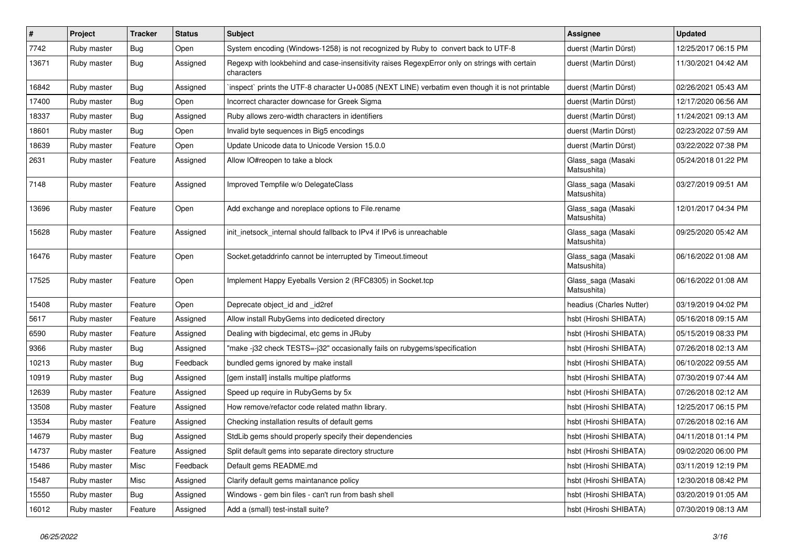| $\vert$ # | Project     | <b>Tracker</b> | <b>Status</b> | <b>Subject</b>                                                                                              | <b>Assignee</b>                   | <b>Updated</b>      |
|-----------|-------------|----------------|---------------|-------------------------------------------------------------------------------------------------------------|-----------------------------------|---------------------|
| 7742      | Ruby master | <b>Bug</b>     | Open          | System encoding (Windows-1258) is not recognized by Ruby to convert back to UTF-8                           | duerst (Martin Dürst)             | 12/25/2017 06:15 PM |
| 13671     | Ruby master | Bug            | Assigned      | Regexp with lookbehind and case-insensitivity raises RegexpError only on strings with certain<br>characters | duerst (Martin Dürst)             | 11/30/2021 04:42 AM |
| 16842     | Ruby master | Bug            | Assigned      | inspect` prints the UTF-8 character U+0085 (NEXT LINE) verbatim even though it is not printable             | duerst (Martin Dürst)             | 02/26/2021 05:43 AM |
| 17400     | Ruby master | Bug            | Open          | Incorrect character downcase for Greek Sigma                                                                | duerst (Martin Dürst)             | 12/17/2020 06:56 AM |
| 18337     | Ruby master | Bug            | Assigned      | Ruby allows zero-width characters in identifiers                                                            | duerst (Martin Dürst)             | 11/24/2021 09:13 AM |
| 18601     | Ruby master | Bug            | Open          | Invalid byte sequences in Big5 encodings                                                                    | duerst (Martin Dürst)             | 02/23/2022 07:59 AM |
| 18639     | Ruby master | Feature        | Open          | Update Unicode data to Unicode Version 15.0.0                                                               | duerst (Martin Dürst)             | 03/22/2022 07:38 PM |
| 2631      | Ruby master | Feature        | Assigned      | Allow IO#reopen to take a block                                                                             | Glass_saga (Masaki<br>Matsushita) | 05/24/2018 01:22 PM |
| 7148      | Ruby master | Feature        | Assigned      | Improved Tempfile w/o DelegateClass                                                                         | Glass_saga (Masaki<br>Matsushita) | 03/27/2019 09:51 AM |
| 13696     | Ruby master | Feature        | Open          | Add exchange and noreplace options to File.rename                                                           | Glass_saga (Masaki<br>Matsushita) | 12/01/2017 04:34 PM |
| 15628     | Ruby master | Feature        | Assigned      | init_inetsock_internal should fallback to IPv4 if IPv6 is unreachable                                       | Glass_saga (Masaki<br>Matsushita) | 09/25/2020 05:42 AM |
| 16476     | Ruby master | Feature        | Open          | Socket.getaddrinfo cannot be interrupted by Timeout.timeout                                                 | Glass_saga (Masaki<br>Matsushita) | 06/16/2022 01:08 AM |
| 17525     | Ruby master | Feature        | Open          | Implement Happy Eyeballs Version 2 (RFC8305) in Socket.tcp                                                  | Glass_saga (Masaki<br>Matsushita) | 06/16/2022 01:08 AM |
| 15408     | Ruby master | Feature        | Open          | Deprecate object_id and _id2ref                                                                             | headius (Charles Nutter)          | 03/19/2019 04:02 PM |
| 5617      | Ruby master | Feature        | Assigned      | Allow install RubyGems into dediceted directory                                                             | hsbt (Hiroshi SHIBATA)            | 05/16/2018 09:15 AM |
| 6590      | Ruby master | Feature        | Assigned      | Dealing with bigdecimal, etc gems in JRuby                                                                  | hsbt (Hiroshi SHIBATA)            | 05/15/2019 08:33 PM |
| 9366      | Ruby master | Bug            | Assigned      | "make -j32 check TESTS=-j32" occasionally fails on rubygems/specification                                   | hsbt (Hiroshi SHIBATA)            | 07/26/2018 02:13 AM |
| 10213     | Ruby master | <b>Bug</b>     | Feedback      | bundled gems ignored by make install                                                                        | hsbt (Hiroshi SHIBATA)            | 06/10/2022 09:55 AM |
| 10919     | Ruby master | <b>Bug</b>     | Assigned      | [gem install] installs multipe platforms                                                                    | hsbt (Hiroshi SHIBATA)            | 07/30/2019 07:44 AM |
| 12639     | Ruby master | Feature        | Assigned      | Speed up require in RubyGems by 5x                                                                          | hsbt (Hiroshi SHIBATA)            | 07/26/2018 02:12 AM |
| 13508     | Ruby master | Feature        | Assigned      | How remove/refactor code related mathn library.                                                             | hsbt (Hiroshi SHIBATA)            | 12/25/2017 06:15 PM |
| 13534     | Ruby master | Feature        | Assigned      | Checking installation results of default gems                                                               | hsbt (Hiroshi SHIBATA)            | 07/26/2018 02:16 AM |
| 14679     | Ruby master | <b>Bug</b>     | Assigned      | StdLib gems should properly specify their dependencies                                                      | hsbt (Hiroshi SHIBATA)            | 04/11/2018 01:14 PM |
| 14737     | Ruby master | Feature        | Assigned      | Split default gems into separate directory structure                                                        | hsbt (Hiroshi SHIBATA)            | 09/02/2020 06:00 PM |
| 15486     | Ruby master | Misc           | Feedback      | Default gems README.md                                                                                      | hsbt (Hiroshi SHIBATA)            | 03/11/2019 12:19 PM |
| 15487     | Ruby master | Misc           | Assigned      | Clarify default gems maintanance policy                                                                     | hsbt (Hiroshi SHIBATA)            | 12/30/2018 08:42 PM |
| 15550     | Ruby master | Bug            | Assigned      | Windows - gem bin files - can't run from bash shell                                                         | hsbt (Hiroshi SHIBATA)            | 03/20/2019 01:05 AM |
| 16012     | Ruby master | Feature        | Assigned      | Add a (small) test-install suite?                                                                           | hsbt (Hiroshi SHIBATA)            | 07/30/2019 08:13 AM |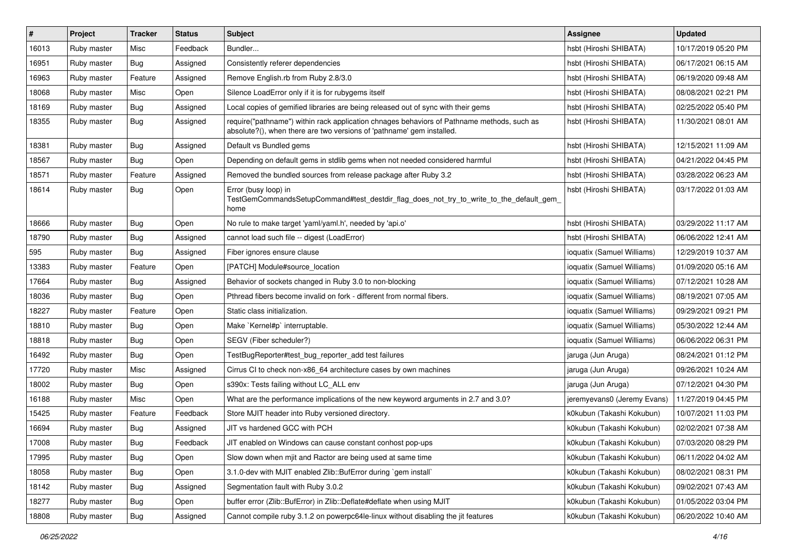| #     | Project     | <b>Tracker</b> | <b>Status</b> | <b>Subject</b>                                                                                                                                                      | <b>Assignee</b>             | <b>Updated</b>      |
|-------|-------------|----------------|---------------|---------------------------------------------------------------------------------------------------------------------------------------------------------------------|-----------------------------|---------------------|
| 16013 | Ruby master | Misc           | Feedback      | Bundler                                                                                                                                                             | hsbt (Hiroshi SHIBATA)      | 10/17/2019 05:20 PM |
| 16951 | Ruby master | Bug            | Assigned      | Consistently referer dependencies                                                                                                                                   | hsbt (Hiroshi SHIBATA)      | 06/17/2021 06:15 AM |
| 16963 | Ruby master | Feature        | Assigned      | Remove English.rb from Ruby 2.8/3.0                                                                                                                                 | hsbt (Hiroshi SHIBATA)      | 06/19/2020 09:48 AM |
| 18068 | Ruby master | Misc           | Open          | Silence LoadError only if it is for rubygems itself                                                                                                                 | hsbt (Hiroshi SHIBATA)      | 08/08/2021 02:21 PM |
| 18169 | Ruby master | <b>Bug</b>     | Assigned      | Local copies of gemified libraries are being released out of sync with their gems                                                                                   | hsbt (Hiroshi SHIBATA)      | 02/25/2022 05:40 PM |
| 18355 | Ruby master | <b>Bug</b>     | Assigned      | require("pathname") within rack application chnages behaviors of Pathname methods, such as<br>absolute?(), when there are two versions of 'pathname' gem installed. | hsbt (Hiroshi SHIBATA)      | 11/30/2021 08:01 AM |
| 18381 | Ruby master | Bug            | Assigned      | Default vs Bundled gems                                                                                                                                             | hsbt (Hiroshi SHIBATA)      | 12/15/2021 11:09 AM |
| 18567 | Ruby master | Bug            | Open          | Depending on default gems in stdlib gems when not needed considered harmful                                                                                         | hsbt (Hiroshi SHIBATA)      | 04/21/2022 04:45 PM |
| 18571 | Ruby master | Feature        | Assigned      | Removed the bundled sources from release package after Ruby 3.2                                                                                                     | hsbt (Hiroshi SHIBATA)      | 03/28/2022 06:23 AM |
| 18614 | Ruby master | Bug            | Open          | Error (busy loop) in<br>TestGemCommandsSetupCommand#test_destdir_flag_does_not_try_to_write_to_the_default_gem_<br>home                                             | hsbt (Hiroshi SHIBATA)      | 03/17/2022 01:03 AM |
| 18666 | Ruby master | Bug            | Open          | No rule to make target 'yaml/yaml.h', needed by 'api.o'                                                                                                             | hsbt (Hiroshi SHIBATA)      | 03/29/2022 11:17 AM |
| 18790 | Ruby master | Bug            | Assigned      | cannot load such file -- digest (LoadError)                                                                                                                         | hsbt (Hiroshi SHIBATA)      | 06/06/2022 12:41 AM |
| 595   | Ruby master | Bug            | Assigned      | Fiber ignores ensure clause                                                                                                                                         | ioquatix (Samuel Williams)  | 12/29/2019 10:37 AM |
| 13383 | Ruby master | Feature        | Open          | [PATCH] Module#source location                                                                                                                                      | ioquatix (Samuel Williams)  | 01/09/2020 05:16 AM |
| 17664 | Ruby master | Bug            | Assigned      | Behavior of sockets changed in Ruby 3.0 to non-blocking                                                                                                             | ioquatix (Samuel Williams)  | 07/12/2021 10:28 AM |
| 18036 | Ruby master | <b>Bug</b>     | Open          | Pthread fibers become invalid on fork - different from normal fibers.                                                                                               | ioquatix (Samuel Williams)  | 08/19/2021 07:05 AM |
| 18227 | Ruby master | Feature        | Open          | Static class initialization.                                                                                                                                        | ioquatix (Samuel Williams)  | 09/29/2021 09:21 PM |
| 18810 | Ruby master | <b>Bug</b>     | Open          | Make `Kernel#p` interruptable.                                                                                                                                      | ioquatix (Samuel Williams)  | 05/30/2022 12:44 AM |
| 18818 | Ruby master | <b>Bug</b>     | Open          | SEGV (Fiber scheduler?)                                                                                                                                             | ioquatix (Samuel Williams)  | 06/06/2022 06:31 PM |
| 16492 | Ruby master | Bug            | Open          | TestBugReporter#test bug reporter add test failures                                                                                                                 | jaruga (Jun Aruga)          | 08/24/2021 01:12 PM |
| 17720 | Ruby master | Misc           | Assigned      | Cirrus CI to check non-x86_64 architecture cases by own machines                                                                                                    | jaruga (Jun Aruga)          | 09/26/2021 10:24 AM |
| 18002 | Ruby master | <b>Bug</b>     | Open          | s390x: Tests failing without LC_ALL env                                                                                                                             | jaruga (Jun Aruga)          | 07/12/2021 04:30 PM |
| 16188 | Ruby master | Misc           | Open          | What are the performance implications of the new keyword arguments in 2.7 and 3.0?                                                                                  | jeremyevans0 (Jeremy Evans) | 11/27/2019 04:45 PM |
| 15425 | Ruby master | Feature        | Feedback      | Store MJIT header into Ruby versioned directory.                                                                                                                    | k0kubun (Takashi Kokubun)   | 10/07/2021 11:03 PM |
| 16694 | Ruby master | <b>Bug</b>     | Assigned      | JIT vs hardened GCC with PCH                                                                                                                                        | k0kubun (Takashi Kokubun)   | 02/02/2021 07:38 AM |
| 17008 | Ruby master | Bug            | Feedback      | JIT enabled on Windows can cause constant conhost pop-ups                                                                                                           | k0kubun (Takashi Kokubun)   | 07/03/2020 08:29 PM |
| 17995 | Ruby master | <b>Bug</b>     | Open          | Slow down when mjit and Ractor are being used at same time                                                                                                          | k0kubun (Takashi Kokubun)   | 06/11/2022 04:02 AM |
| 18058 | Ruby master | Bug            | Open          | 3.1.0-dev with MJIT enabled Zlib::BufError during `gem install`                                                                                                     | k0kubun (Takashi Kokubun)   | 08/02/2021 08:31 PM |
| 18142 | Ruby master | <b>Bug</b>     | Assigned      | Segmentation fault with Ruby 3.0.2                                                                                                                                  | k0kubun (Takashi Kokubun)   | 09/02/2021 07:43 AM |
| 18277 | Ruby master | <b>Bug</b>     | Open          | buffer error (Zlib::BufError) in Zlib::Deflate#deflate when using MJIT                                                                                              | k0kubun (Takashi Kokubun)   | 01/05/2022 03:04 PM |
| 18808 | Ruby master | <b>Bug</b>     | Assigned      | Cannot compile ruby 3.1.2 on powerpc64le-linux without disabling the jit features                                                                                   | k0kubun (Takashi Kokubun)   | 06/20/2022 10:40 AM |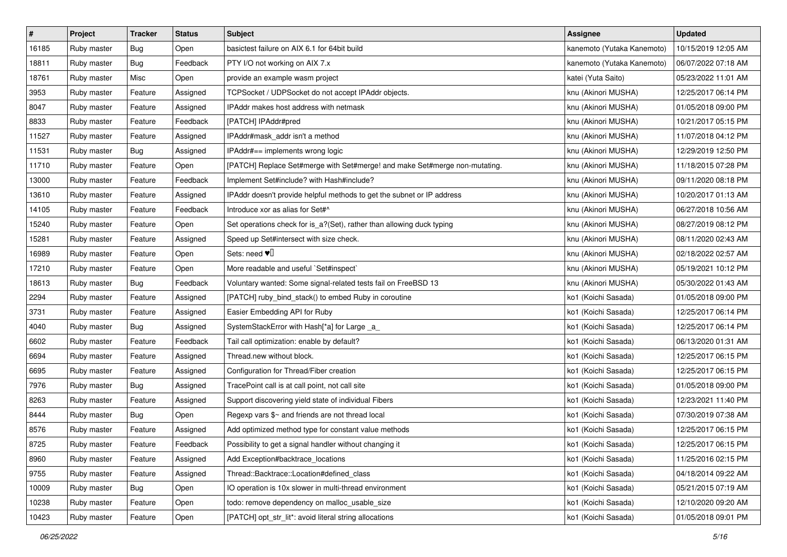| $\pmb{\#}$ | Project     | <b>Tracker</b> | <b>Status</b> | <b>Subject</b>                                                             | <b>Assignee</b>            | <b>Updated</b>      |
|------------|-------------|----------------|---------------|----------------------------------------------------------------------------|----------------------------|---------------------|
| 16185      | Ruby master | <b>Bug</b>     | Open          | basictest failure on AIX 6.1 for 64bit build                               | kanemoto (Yutaka Kanemoto) | 10/15/2019 12:05 AM |
| 18811      | Ruby master | <b>Bug</b>     | Feedback      | PTY I/O not working on AIX 7.x                                             | kanemoto (Yutaka Kanemoto) | 06/07/2022 07:18 AM |
| 18761      | Ruby master | Misc           | Open          | provide an example wasm project                                            | katei (Yuta Saito)         | 05/23/2022 11:01 AM |
| 3953       | Ruby master | Feature        | Assigned      | TCPSocket / UDPSocket do not accept IPAddr objects.                        | knu (Akinori MUSHA)        | 12/25/2017 06:14 PM |
| 8047       | Ruby master | Feature        | Assigned      | IPAddr makes host address with netmask                                     | knu (Akinori MUSHA)        | 01/05/2018 09:00 PM |
| 8833       | Ruby master | Feature        | Feedback      | [PATCH] IPAddr#pred                                                        | knu (Akinori MUSHA)        | 10/21/2017 05:15 PM |
| 11527      | Ruby master | Feature        | Assigned      | IPAddr#mask_addr isn't a method                                            | knu (Akinori MUSHA)        | 11/07/2018 04:12 PM |
| 11531      | Ruby master | Bug            | Assigned      | IPAddr#== implements wrong logic                                           | knu (Akinori MUSHA)        | 12/29/2019 12:50 PM |
| 11710      | Ruby master | Feature        | Open          | [PATCH] Replace Set#merge with Set#merge! and make Set#merge non-mutating. | knu (Akinori MUSHA)        | 11/18/2015 07:28 PM |
| 13000      | Ruby master | Feature        | Feedback      | Implement Set#include? with Hash#include?                                  | knu (Akinori MUSHA)        | 09/11/2020 08:18 PM |
| 13610      | Ruby master | Feature        | Assigned      | IPAddr doesn't provide helpful methods to get the subnet or IP address     | knu (Akinori MUSHA)        | 10/20/2017 01:13 AM |
| 14105      | Ruby master | Feature        | Feedback      | Introduce xor as alias for Set#^                                           | knu (Akinori MUSHA)        | 06/27/2018 10:56 AM |
| 15240      | Ruby master | Feature        | Open          | Set operations check for is_a?(Set), rather than allowing duck typing      | knu (Akinori MUSHA)        | 08/27/2019 08:12 PM |
| 15281      | Ruby master | Feature        | Assigned      | Speed up Set#intersect with size check.                                    | knu (Akinori MUSHA)        | 08/11/2020 02:43 AM |
| 16989      | Ruby master | Feature        | Open          | Sets: need $\Psi$                                                          | knu (Akinori MUSHA)        | 02/18/2022 02:57 AM |
| 17210      | Ruby master | Feature        | Open          | More readable and useful `Set#inspect`                                     | knu (Akinori MUSHA)        | 05/19/2021 10:12 PM |
| 18613      | Ruby master | <b>Bug</b>     | Feedback      | Voluntary wanted: Some signal-related tests fail on FreeBSD 13             | knu (Akinori MUSHA)        | 05/30/2022 01:43 AM |
| 2294       | Ruby master | Feature        | Assigned      | [PATCH] ruby_bind_stack() to embed Ruby in coroutine                       | ko1 (Koichi Sasada)        | 01/05/2018 09:00 PM |
| 3731       | Ruby master | Feature        | Assigned      | Easier Embedding API for Ruby                                              | ko1 (Koichi Sasada)        | 12/25/2017 06:14 PM |
| 4040       | Ruby master | Bug            | Assigned      | SystemStackError with Hash[*a] for Large _a_                               | ko1 (Koichi Sasada)        | 12/25/2017 06:14 PM |
| 6602       | Ruby master | Feature        | Feedback      | Tail call optimization: enable by default?                                 | ko1 (Koichi Sasada)        | 06/13/2020 01:31 AM |
| 6694       | Ruby master | Feature        | Assigned      | Thread.new without block.                                                  | ko1 (Koichi Sasada)        | 12/25/2017 06:15 PM |
| 6695       | Ruby master | Feature        | Assigned      | Configuration for Thread/Fiber creation                                    | ko1 (Koichi Sasada)        | 12/25/2017 06:15 PM |
| 7976       | Ruby master | <b>Bug</b>     | Assigned      | TracePoint call is at call point, not call site                            | ko1 (Koichi Sasada)        | 01/05/2018 09:00 PM |
| 8263       | Ruby master | Feature        | Assigned      | Support discovering yield state of individual Fibers                       | ko1 (Koichi Sasada)        | 12/23/2021 11:40 PM |
| 8444       | Ruby master | Bug            | Open          | Regexp vars \$~ and friends are not thread local                           | ko1 (Koichi Sasada)        | 07/30/2019 07:38 AM |
| 8576       | Ruby master | Feature        | Assigned      | Add optimized method type for constant value methods                       | ko1 (Koichi Sasada)        | 12/25/2017 06:15 PM |
| 8725       | Ruby master | Feature        | Feedback      | Possibility to get a signal handler without changing it                    | ko1 (Koichi Sasada)        | 12/25/2017 06:15 PM |
| 8960       | Ruby master | Feature        | Assigned      | Add Exception#backtrace locations                                          | ko1 (Koichi Sasada)        | 11/25/2016 02:15 PM |
| 9755       | Ruby master | Feature        | Assigned      | Thread::Backtrace::Location#defined_class                                  | ko1 (Koichi Sasada)        | 04/18/2014 09:22 AM |
| 10009      | Ruby master | Bug            | Open          | IO operation is 10x slower in multi-thread environment                     | ko1 (Koichi Sasada)        | 05/21/2015 07:19 AM |
| 10238      | Ruby master | Feature        | Open          | todo: remove dependency on malloc usable size                              | ko1 (Koichi Sasada)        | 12/10/2020 09:20 AM |
| 10423      | Ruby master | Feature        | Open          | [PATCH] opt_str_lit*: avoid literal string allocations                     | ko1 (Koichi Sasada)        | 01/05/2018 09:01 PM |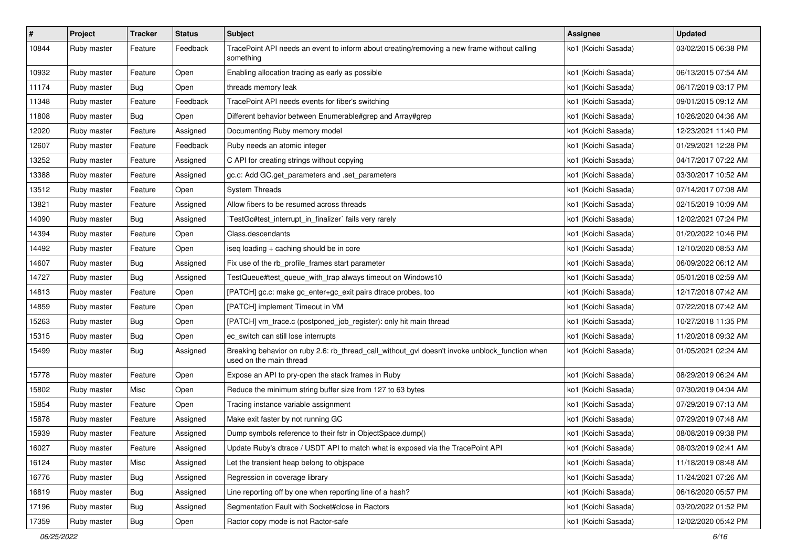| $\pmb{\#}$ | Project     | <b>Tracker</b> | <b>Status</b> | Subject                                                                                                                   | <b>Assignee</b>     | <b>Updated</b>      |
|------------|-------------|----------------|---------------|---------------------------------------------------------------------------------------------------------------------------|---------------------|---------------------|
| 10844      | Ruby master | Feature        | Feedback      | TracePoint API needs an event to inform about creating/removing a new frame without calling<br>something                  | ko1 (Koichi Sasada) | 03/02/2015 06:38 PM |
| 10932      | Ruby master | Feature        | Open          | Enabling allocation tracing as early as possible                                                                          | ko1 (Koichi Sasada) | 06/13/2015 07:54 AM |
| 11174      | Ruby master | Bug            | Open          | threads memory leak                                                                                                       | ko1 (Koichi Sasada) | 06/17/2019 03:17 PM |
| 11348      | Ruby master | Feature        | Feedback      | TracePoint API needs events for fiber's switching                                                                         | ko1 (Koichi Sasada) | 09/01/2015 09:12 AM |
| 11808      | Ruby master | Bug            | Open          | Different behavior between Enumerable#grep and Array#grep                                                                 | ko1 (Koichi Sasada) | 10/26/2020 04:36 AM |
| 12020      | Ruby master | Feature        | Assigned      | Documenting Ruby memory model                                                                                             | ko1 (Koichi Sasada) | 12/23/2021 11:40 PM |
| 12607      | Ruby master | Feature        | Feedback      | Ruby needs an atomic integer                                                                                              | ko1 (Koichi Sasada) | 01/29/2021 12:28 PM |
| 13252      | Ruby master | Feature        | Assigned      | C API for creating strings without copying                                                                                | ko1 (Koichi Sasada) | 04/17/2017 07:22 AM |
| 13388      | Ruby master | Feature        | Assigned      | gc.c: Add GC.get_parameters and .set_parameters                                                                           | ko1 (Koichi Sasada) | 03/30/2017 10:52 AM |
| 13512      | Ruby master | Feature        | Open          | <b>System Threads</b>                                                                                                     | ko1 (Koichi Sasada) | 07/14/2017 07:08 AM |
| 13821      | Ruby master | Feature        | Assigned      | Allow fibers to be resumed across threads                                                                                 | ko1 (Koichi Sasada) | 02/15/2019 10:09 AM |
| 14090      | Ruby master | Bug            | Assigned      | TestGc#test_interrupt_in_finalizer` fails very rarely                                                                     | ko1 (Koichi Sasada) | 12/02/2021 07:24 PM |
| 14394      | Ruby master | Feature        | Open          | Class.descendants                                                                                                         | ko1 (Koichi Sasada) | 01/20/2022 10:46 PM |
| 14492      | Ruby master | Feature        | Open          | iseq loading + caching should be in core                                                                                  | ko1 (Koichi Sasada) | 12/10/2020 08:53 AM |
| 14607      | Ruby master | Bug            | Assigned      | Fix use of the rb_profile_frames start parameter                                                                          | ko1 (Koichi Sasada) | 06/09/2022 06:12 AM |
| 14727      | Ruby master | <b>Bug</b>     | Assigned      | TestQueue#test_queue_with_trap always timeout on Windows10                                                                | ko1 (Koichi Sasada) | 05/01/2018 02:59 AM |
| 14813      | Ruby master | Feature        | Open          | [PATCH] gc.c: make gc_enter+gc_exit pairs dtrace probes, too                                                              | ko1 (Koichi Sasada) | 12/17/2018 07:42 AM |
| 14859      | Ruby master | Feature        | Open          | [PATCH] implement Timeout in VM                                                                                           | ko1 (Koichi Sasada) | 07/22/2018 07:42 AM |
| 15263      | Ruby master | <b>Bug</b>     | Open          | [PATCH] vm_trace.c (postponed_job_register): only hit main thread                                                         | ko1 (Koichi Sasada) | 10/27/2018 11:35 PM |
| 15315      | Ruby master | <b>Bug</b>     | Open          | ec_switch can still lose interrupts                                                                                       | ko1 (Koichi Sasada) | 11/20/2018 09:32 AM |
| 15499      | Ruby master | Bug            | Assigned      | Breaking behavior on ruby 2.6: rb_thread_call_without_gvl doesn't invoke unblock_function when<br>used on the main thread | ko1 (Koichi Sasada) | 01/05/2021 02:24 AM |
| 15778      | Ruby master | Feature        | Open          | Expose an API to pry-open the stack frames in Ruby                                                                        | ko1 (Koichi Sasada) | 08/29/2019 06:24 AM |
| 15802      | Ruby master | Misc           | Open          | Reduce the minimum string buffer size from 127 to 63 bytes                                                                | ko1 (Koichi Sasada) | 07/30/2019 04:04 AM |
| 15854      | Ruby master | Feature        | Open          | Tracing instance variable assignment                                                                                      | ko1 (Koichi Sasada) | 07/29/2019 07:13 AM |
| 15878      | Ruby master | Feature        | Assigned      | Make exit faster by not running GC                                                                                        | ko1 (Koichi Sasada) | 07/29/2019 07:48 AM |
| 15939      | Ruby master | Feature        | Assigned      | Dump symbols reference to their fstr in ObjectSpace.dump()                                                                | ko1 (Koichi Sasada) | 08/08/2019 09:38 PM |
| 16027      | Ruby master | Feature        | Assigned      | Update Ruby's dtrace / USDT API to match what is exposed via the TracePoint API                                           | ko1 (Koichi Sasada) | 08/03/2019 02:41 AM |
| 16124      | Ruby master | Misc           | Assigned      | Let the transient heap belong to objspace                                                                                 | ko1 (Koichi Sasada) | 11/18/2019 08:48 AM |
| 16776      | Ruby master | <b>Bug</b>     | Assigned      | Regression in coverage library                                                                                            | ko1 (Koichi Sasada) | 11/24/2021 07:26 AM |
| 16819      | Ruby master | Bug            | Assigned      | Line reporting off by one when reporting line of a hash?                                                                  | ko1 (Koichi Sasada) | 06/16/2020 05:57 PM |
| 17196      | Ruby master | <b>Bug</b>     | Assigned      | Segmentation Fault with Socket#close in Ractors                                                                           | ko1 (Koichi Sasada) | 03/20/2022 01:52 PM |
| 17359      | Ruby master | <b>Bug</b>     | Open          | Ractor copy mode is not Ractor-safe                                                                                       | ko1 (Koichi Sasada) | 12/02/2020 05:42 PM |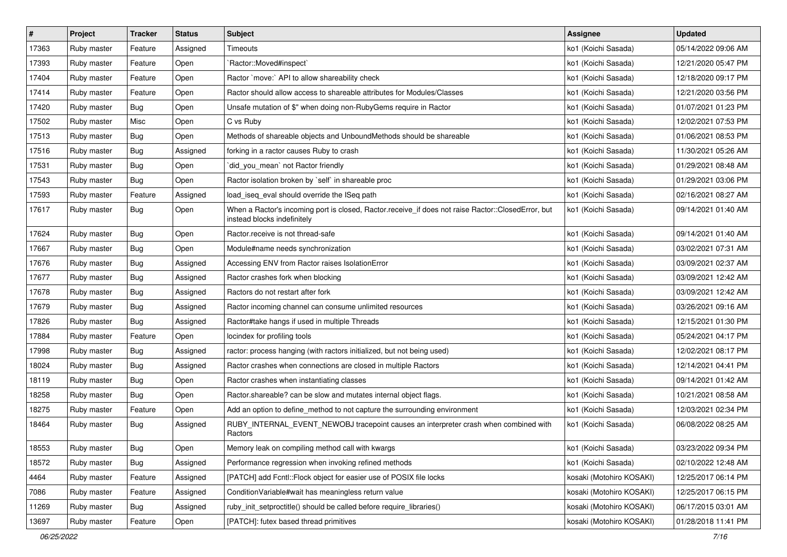| $\vert$ # | Project     | <b>Tracker</b> | <b>Status</b> | Subject                                                                                                                           | <b>Assignee</b>          | <b>Updated</b>      |
|-----------|-------------|----------------|---------------|-----------------------------------------------------------------------------------------------------------------------------------|--------------------------|---------------------|
| 17363     | Ruby master | Feature        | Assigned      | Timeouts                                                                                                                          | ko1 (Koichi Sasada)      | 05/14/2022 09:06 AM |
| 17393     | Ruby master | Feature        | Open          | Ractor::Moved#inspect`                                                                                                            | ko1 (Koichi Sasada)      | 12/21/2020 05:47 PM |
| 17404     | Ruby master | Feature        | Open          | Ractor `move:` API to allow shareability check                                                                                    | ko1 (Koichi Sasada)      | 12/18/2020 09:17 PM |
| 17414     | Ruby master | Feature        | Open          | Ractor should allow access to shareable attributes for Modules/Classes                                                            | ko1 (Koichi Sasada)      | 12/21/2020 03:56 PM |
| 17420     | Ruby master | <b>Bug</b>     | Open          | Unsafe mutation of \$" when doing non-RubyGems require in Ractor                                                                  | ko1 (Koichi Sasada)      | 01/07/2021 01:23 PM |
| 17502     | Ruby master | Misc           | Open          | C vs Ruby                                                                                                                         | ko1 (Koichi Sasada)      | 12/02/2021 07:53 PM |
| 17513     | Ruby master | Bug            | Open          | Methods of shareable objects and UnboundMethods should be shareable                                                               | ko1 (Koichi Sasada)      | 01/06/2021 08:53 PM |
| 17516     | Ruby master | <b>Bug</b>     | Assigned      | forking in a ractor causes Ruby to crash                                                                                          | ko1 (Koichi Sasada)      | 11/30/2021 05:26 AM |
| 17531     | Ruby master | Bug            | Open          | did_you_mean' not Ractor friendly                                                                                                 | ko1 (Koichi Sasada)      | 01/29/2021 08:48 AM |
| 17543     | Ruby master | Bug            | Open          | Ractor isolation broken by `self` in shareable proc                                                                               | ko1 (Koichi Sasada)      | 01/29/2021 03:06 PM |
| 17593     | Ruby master | Feature        | Assigned      | load_iseq_eval should override the ISeq path                                                                                      | ko1 (Koichi Sasada)      | 02/16/2021 08:27 AM |
| 17617     | Ruby master | <b>Bug</b>     | Open          | When a Ractor's incoming port is closed, Ractor.receive_if does not raise Ractor::ClosedError, but<br>instead blocks indefinitely | ko1 (Koichi Sasada)      | 09/14/2021 01:40 AM |
| 17624     | Ruby master | Bug            | Open          | Ractor.receive is not thread-safe                                                                                                 | ko1 (Koichi Sasada)      | 09/14/2021 01:40 AM |
| 17667     | Ruby master | Bug            | Open          | Module#name needs synchronization                                                                                                 | ko1 (Koichi Sasada)      | 03/02/2021 07:31 AM |
| 17676     | Ruby master | <b>Bug</b>     | Assigned      | Accessing ENV from Ractor raises IsolationError                                                                                   | ko1 (Koichi Sasada)      | 03/09/2021 02:37 AM |
| 17677     | Ruby master | <b>Bug</b>     | Assigned      | Ractor crashes fork when blocking                                                                                                 | ko1 (Koichi Sasada)      | 03/09/2021 12:42 AM |
| 17678     | Ruby master | <b>Bug</b>     | Assigned      | Ractors do not restart after fork                                                                                                 | ko1 (Koichi Sasada)      | 03/09/2021 12:42 AM |
| 17679     | Ruby master | <b>Bug</b>     | Assigned      | Ractor incoming channel can consume unlimited resources                                                                           | ko1 (Koichi Sasada)      | 03/26/2021 09:16 AM |
| 17826     | Ruby master | <b>Bug</b>     | Assigned      | Ractor#take hangs if used in multiple Threads                                                                                     | ko1 (Koichi Sasada)      | 12/15/2021 01:30 PM |
| 17884     | Ruby master | Feature        | Open          | locindex for profiling tools                                                                                                      | ko1 (Koichi Sasada)      | 05/24/2021 04:17 PM |
| 17998     | Ruby master | Bug            | Assigned      | ractor: process hanging (with ractors initialized, but not being used)                                                            | ko1 (Koichi Sasada)      | 12/02/2021 08:17 PM |
| 18024     | Ruby master | Bug            | Assigned      | Ractor crashes when connections are closed in multiple Ractors                                                                    | ko1 (Koichi Sasada)      | 12/14/2021 04:41 PM |
| 18119     | Ruby master | Bug            | Open          | Ractor crashes when instantiating classes                                                                                         | ko1 (Koichi Sasada)      | 09/14/2021 01:42 AM |
| 18258     | Ruby master | <b>Bug</b>     | Open          | Ractor.shareable? can be slow and mutates internal object flags.                                                                  | ko1 (Koichi Sasada)      | 10/21/2021 08:58 AM |
| 18275     | Ruby master | Feature        | Open          | Add an option to define_method to not capture the surrounding environment                                                         | ko1 (Koichi Sasada)      | 12/03/2021 02:34 PM |
| 18464     | Ruby master | <b>Bug</b>     | Assigned      | RUBY_INTERNAL_EVENT_NEWOBJ tracepoint causes an interpreter crash when combined with<br>Ractors                                   | ko1 (Koichi Sasada)      | 06/08/2022 08:25 AM |
| 18553     | Ruby master | Bug            | Open          | Memory leak on compiling method call with kwargs                                                                                  | ko1 (Koichi Sasada)      | 03/23/2022 09:34 PM |
| 18572     | Ruby master | <b>Bug</b>     | Assigned      | Performance regression when invoking refined methods                                                                              | ko1 (Koichi Sasada)      | 02/10/2022 12:48 AM |
| 4464      | Ruby master | Feature        | Assigned      | [PATCH] add Fcntl::Flock object for easier use of POSIX file locks                                                                | kosaki (Motohiro KOSAKI) | 12/25/2017 06:14 PM |
| 7086      | Ruby master | Feature        | Assigned      | Condition Variable#wait has meaningless return value                                                                              | kosaki (Motohiro KOSAKI) | 12/25/2017 06:15 PM |
| 11269     | Ruby master | Bug            | Assigned      | ruby_init_setproctitle() should be called before require_libraries()                                                              | kosaki (Motohiro KOSAKI) | 06/17/2015 03:01 AM |
| 13697     | Ruby master | Feature        | Open          | [PATCH]: futex based thread primitives                                                                                            | kosaki (Motohiro KOSAKI) | 01/28/2018 11:41 PM |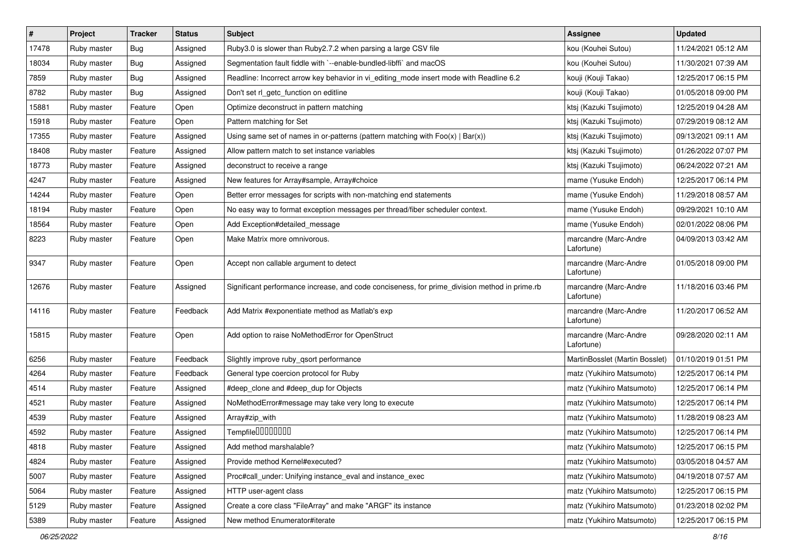| $\sharp$ | Project     | <b>Tracker</b> | <b>Status</b> | <b>Subject</b>                                                                                | <b>Assignee</b>                     | <b>Updated</b>      |
|----------|-------------|----------------|---------------|-----------------------------------------------------------------------------------------------|-------------------------------------|---------------------|
| 17478    | Ruby master | <b>Bug</b>     | Assigned      | Ruby3.0 is slower than Ruby2.7.2 when parsing a large CSV file                                | kou (Kouhei Sutou)                  | 11/24/2021 05:12 AM |
| 18034    | Ruby master | Bug            | Assigned      | Segmentation fault fiddle with `--enable-bundled-libffi` and macOS                            | kou (Kouhei Sutou)                  | 11/30/2021 07:39 AM |
| 7859     | Ruby master | Bug            | Assigned      | Readline: Incorrect arrow key behavior in vi_editing_mode insert mode with Readline 6.2       | kouji (Kouji Takao)                 | 12/25/2017 06:15 PM |
| 8782     | Ruby master | <b>Bug</b>     | Assigned      | Don't set rl_getc_function on editline                                                        | kouji (Kouji Takao)                 | 01/05/2018 09:00 PM |
| 15881    | Ruby master | Feature        | Open          | Optimize deconstruct in pattern matching                                                      | ktsj (Kazuki Tsujimoto)             | 12/25/2019 04:28 AM |
| 15918    | Ruby master | Feature        | Open          | Pattern matching for Set                                                                      | ktsj (Kazuki Tsujimoto)             | 07/29/2019 08:12 AM |
| 17355    | Ruby master | Feature        | Assigned      | Using same set of names in or-patterns (pattern matching with $Foo(x)   Bar(x)$ )             | ktsj (Kazuki Tsujimoto)             | 09/13/2021 09:11 AM |
| 18408    | Ruby master | Feature        | Assigned      | Allow pattern match to set instance variables                                                 | ktsj (Kazuki Tsujimoto)             | 01/26/2022 07:07 PM |
| 18773    | Ruby master | Feature        | Assigned      | deconstruct to receive a range                                                                | ktsj (Kazuki Tsujimoto)             | 06/24/2022 07:21 AM |
| 4247     | Ruby master | Feature        | Assigned      | New features for Array#sample, Array#choice                                                   | mame (Yusuke Endoh)                 | 12/25/2017 06:14 PM |
| 14244    | Ruby master | Feature        | Open          | Better error messages for scripts with non-matching end statements                            | mame (Yusuke Endoh)                 | 11/29/2018 08:57 AM |
| 18194    | Ruby master | Feature        | Open          | No easy way to format exception messages per thread/fiber scheduler context.                  | mame (Yusuke Endoh)                 | 09/29/2021 10:10 AM |
| 18564    | Ruby master | Feature        | Open          | Add Exception#detailed_message                                                                | mame (Yusuke Endoh)                 | 02/01/2022 08:06 PM |
| 8223     | Ruby master | Feature        | Open          | Make Matrix more omnivorous.                                                                  | marcandre (Marc-Andre<br>Lafortune) | 04/09/2013 03:42 AM |
| 9347     | Ruby master | Feature        | Open          | Accept non callable argument to detect                                                        | marcandre (Marc-Andre<br>Lafortune) | 01/05/2018 09:00 PM |
| 12676    | Ruby master | Feature        | Assigned      | Significant performance increase, and code conciseness, for prime_division method in prime.rb | marcandre (Marc-Andre<br>Lafortune) | 11/18/2016 03:46 PM |
| 14116    | Ruby master | Feature        | Feedback      | Add Matrix #exponentiate method as Matlab's exp                                               | marcandre (Marc-Andre<br>Lafortune) | 11/20/2017 06:52 AM |
| 15815    | Ruby master | Feature        | Open          | Add option to raise NoMethodError for OpenStruct                                              | marcandre (Marc-Andre<br>Lafortune) | 09/28/2020 02:11 AM |
| 6256     | Ruby master | Feature        | Feedback      | Slightly improve ruby_qsort performance                                                       | MartinBosslet (Martin Bosslet)      | 01/10/2019 01:51 PM |
| 4264     | Ruby master | Feature        | Feedback      | General type coercion protocol for Ruby                                                       | matz (Yukihiro Matsumoto)           | 12/25/2017 06:14 PM |
| 4514     | Ruby master | Feature        | Assigned      | #deep_clone and #deep_dup for Objects                                                         | matz (Yukihiro Matsumoto)           | 12/25/2017 06:14 PM |
| 4521     | Ruby master | Feature        | Assigned      | NoMethodError#message may take very long to execute                                           | matz (Yukihiro Matsumoto)           | 12/25/2017 06:14 PM |
| 4539     | Ruby master | Feature        | Assigned      | Array#zip_with                                                                                | matz (Yukihiro Matsumoto)           | 11/28/2019 08:23 AM |
| 4592     | Ruby master | Feature        | Assigned      | Tempfile <sup>[10101010]</sup>                                                                | matz (Yukihiro Matsumoto)           | 12/25/2017 06:14 PM |
| 4818     | Ruby master | Feature        | Assigned      | Add method marshalable?                                                                       | matz (Yukihiro Matsumoto)           | 12/25/2017 06:15 PM |
| 4824     | Ruby master | Feature        | Assigned      | Provide method Kernel#executed?                                                               | matz (Yukihiro Matsumoto)           | 03/05/2018 04:57 AM |
| 5007     | Ruby master | Feature        | Assigned      | Proc#call_under: Unifying instance_eval and instance_exec                                     | matz (Yukihiro Matsumoto)           | 04/19/2018 07:57 AM |
| 5064     | Ruby master | Feature        | Assigned      | HTTP user-agent class                                                                         | matz (Yukihiro Matsumoto)           | 12/25/2017 06:15 PM |
| 5129     | Ruby master | Feature        | Assigned      | Create a core class "FileArray" and make "ARGF" its instance                                  | matz (Yukihiro Matsumoto)           | 01/23/2018 02:02 PM |
| 5389     | Ruby master | Feature        | Assigned      | New method Enumerator#iterate                                                                 | matz (Yukihiro Matsumoto)           | 12/25/2017 06:15 PM |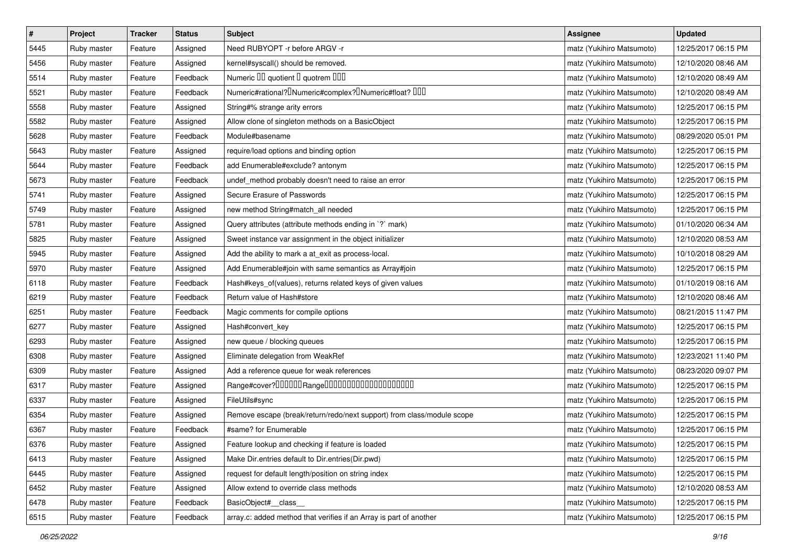| $\vert$ # | Project     | <b>Tracker</b> | <b>Status</b> | <b>Subject</b>                                                                                | <b>Assignee</b>           | <b>Updated</b>      |
|-----------|-------------|----------------|---------------|-----------------------------------------------------------------------------------------------|---------------------------|---------------------|
| 5445      | Ruby master | Feature        | Assigned      | Need RUBYOPT - r before ARGV - r                                                              | matz (Yukihiro Matsumoto) | 12/25/2017 06:15 PM |
| 5456      | Ruby master | Feature        | Assigned      | kernel#syscall() should be removed.                                                           | matz (Yukihiro Matsumoto) | 12/10/2020 08:46 AM |
| 5514      | Ruby master | Feature        | Feedback      | Numeric III quotient I quotrem IIII                                                           | matz (Yukihiro Matsumoto) | 12/10/2020 08:49 AM |
| 5521      | Ruby master | Feature        | Feedback      | Numeric#rational? <sup>[]</sup> Numeric#complex? <sup>[]</sup> Numeric#float? <sup>[10]</sup> | matz (Yukihiro Matsumoto) | 12/10/2020 08:49 AM |
| 5558      | Ruby master | Feature        | Assigned      | String#% strange arity errors                                                                 | matz (Yukihiro Matsumoto) | 12/25/2017 06:15 PM |
| 5582      | Ruby master | Feature        | Assigned      | Allow clone of singleton methods on a BasicObject                                             | matz (Yukihiro Matsumoto) | 12/25/2017 06:15 PM |
| 5628      | Ruby master | Feature        | Feedback      | Module#basename                                                                               | matz (Yukihiro Matsumoto) | 08/29/2020 05:01 PM |
| 5643      | Ruby master | Feature        | Assigned      | require/load options and binding option                                                       | matz (Yukihiro Matsumoto) | 12/25/2017 06:15 PM |
| 5644      | Ruby master | Feature        | Feedback      | add Enumerable#exclude? antonym                                                               | matz (Yukihiro Matsumoto) | 12/25/2017 06:15 PM |
| 5673      | Ruby master | Feature        | Feedback      | undef_method probably doesn't need to raise an error                                          | matz (Yukihiro Matsumoto) | 12/25/2017 06:15 PM |
| 5741      | Ruby master | Feature        | Assigned      | Secure Erasure of Passwords                                                                   | matz (Yukihiro Matsumoto) | 12/25/2017 06:15 PM |
| 5749      | Ruby master | Feature        | Assigned      | new method String#match_all needed                                                            | matz (Yukihiro Matsumoto) | 12/25/2017 06:15 PM |
| 5781      | Ruby master | Feature        | Assigned      | Query attributes (attribute methods ending in `?` mark)                                       | matz (Yukihiro Matsumoto) | 01/10/2020 06:34 AM |
| 5825      | Ruby master | Feature        | Assigned      | Sweet instance var assignment in the object initializer                                       | matz (Yukihiro Matsumoto) | 12/10/2020 08:53 AM |
| 5945      | Ruby master | Feature        | Assigned      | Add the ability to mark a at_exit as process-local.                                           | matz (Yukihiro Matsumoto) | 10/10/2018 08:29 AM |
| 5970      | Ruby master | Feature        | Assigned      | Add Enumerable#join with same semantics as Array#join                                         | matz (Yukihiro Matsumoto) | 12/25/2017 06:15 PM |
| 6118      | Ruby master | Feature        | Feedback      | Hash#keys_of(values), returns related keys of given values                                    | matz (Yukihiro Matsumoto) | 01/10/2019 08:16 AM |
| 6219      | Ruby master | Feature        | Feedback      | Return value of Hash#store                                                                    | matz (Yukihiro Matsumoto) | 12/10/2020 08:46 AM |
| 6251      | Ruby master | Feature        | Feedback      | Magic comments for compile options                                                            | matz (Yukihiro Matsumoto) | 08/21/2015 11:47 PM |
| 6277      | Ruby master | Feature        | Assigned      | Hash#convert_key                                                                              | matz (Yukihiro Matsumoto) | 12/25/2017 06:15 PM |
| 6293      | Ruby master | Feature        | Assigned      | new queue / blocking queues                                                                   | matz (Yukihiro Matsumoto) | 12/25/2017 06:15 PM |
| 6308      | Ruby master | Feature        | Assigned      | Eliminate delegation from WeakRef                                                             | matz (Yukihiro Matsumoto) | 12/23/2021 11:40 PM |
| 6309      | Ruby master | Feature        | Assigned      | Add a reference queue for weak references                                                     | matz (Yukihiro Matsumoto) | 08/23/2020 09:07 PM |
| 6317      | Ruby master | Feature        | Assigned      | Range#cover?000000Range00000000000000000000                                                   | matz (Yukihiro Matsumoto) | 12/25/2017 06:15 PM |
| 6337      | Ruby master | Feature        | Assigned      | FileUtils#sync                                                                                | matz (Yukihiro Matsumoto) | 12/25/2017 06:15 PM |
| 6354      | Ruby master | Feature        | Assigned      | Remove escape (break/return/redo/next support) from class/module scope                        | matz (Yukihiro Matsumoto) | 12/25/2017 06:15 PM |
| 6367      | Ruby master | Feature        | Feedback      | #same? for Enumerable                                                                         | matz (Yukihiro Matsumoto) | 12/25/2017 06:15 PM |
| 6376      | Ruby master | Feature        | Assigned      | Feature lookup and checking if feature is loaded                                              | matz (Yukihiro Matsumoto) | 12/25/2017 06:15 PM |
| 6413      | Ruby master | Feature        | Assigned      | Make Dir.entries default to Dir.entries(Dir.pwd)                                              | matz (Yukihiro Matsumoto) | 12/25/2017 06:15 PM |
| 6445      | Ruby master | Feature        | Assigned      | request for default length/position on string index                                           | matz (Yukihiro Matsumoto) | 12/25/2017 06:15 PM |
| 6452      | Ruby master | Feature        | Assigned      | Allow extend to override class methods                                                        | matz (Yukihiro Matsumoto) | 12/10/2020 08:53 AM |
| 6478      | Ruby master | Feature        | Feedback      | BasicObject# class                                                                            | matz (Yukihiro Matsumoto) | 12/25/2017 06:15 PM |
| 6515      | Ruby master | Feature        | Feedback      | array.c: added method that verifies if an Array is part of another                            | matz (Yukihiro Matsumoto) | 12/25/2017 06:15 PM |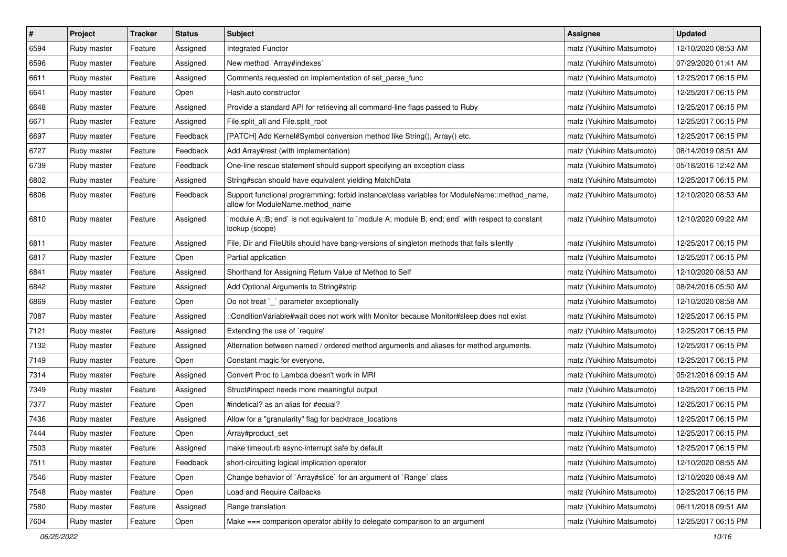| $\vert$ # | Project     | <b>Tracker</b> | <b>Status</b> | <b>Subject</b>                                                                                                                   | <b>Assignee</b>           | <b>Updated</b>      |
|-----------|-------------|----------------|---------------|----------------------------------------------------------------------------------------------------------------------------------|---------------------------|---------------------|
| 6594      | Ruby master | Feature        | Assigned      | Integrated Functor                                                                                                               | matz (Yukihiro Matsumoto) | 12/10/2020 08:53 AM |
| 6596      | Ruby master | Feature        | Assigned      | New method `Array#indexes`                                                                                                       | matz (Yukihiro Matsumoto) | 07/29/2020 01:41 AM |
| 6611      | Ruby master | Feature        | Assigned      | Comments requested on implementation of set_parse_func                                                                           | matz (Yukihiro Matsumoto) | 12/25/2017 06:15 PM |
| 6641      | Ruby master | Feature        | Open          | Hash.auto constructor                                                                                                            | matz (Yukihiro Matsumoto) | 12/25/2017 06:15 PM |
| 6648      | Ruby master | Feature        | Assigned      | Provide a standard API for retrieving all command-line flags passed to Ruby                                                      | matz (Yukihiro Matsumoto) | 12/25/2017 06:15 PM |
| 6671      | Ruby master | Feature        | Assigned      | File.split_all and File.split_root                                                                                               | matz (Yukihiro Matsumoto) | 12/25/2017 06:15 PM |
| 6697      | Ruby master | Feature        | Feedback      | [PATCH] Add Kernel#Symbol conversion method like String(), Array() etc.                                                          | matz (Yukihiro Matsumoto) | 12/25/2017 06:15 PM |
| 6727      | Ruby master | Feature        | Feedback      | Add Array#rest (with implementation)                                                                                             | matz (Yukihiro Matsumoto) | 08/14/2019 08:51 AM |
| 6739      | Ruby master | Feature        | Feedback      | One-line rescue statement should support specifying an exception class                                                           | matz (Yukihiro Matsumoto) | 05/18/2016 12:42 AM |
| 6802      | Ruby master | Feature        | Assigned      | String#scan should have equivalent yielding MatchData                                                                            | matz (Yukihiro Matsumoto) | 12/25/2017 06:15 PM |
| 6806      | Ruby master | Feature        | Feedback      | Support functional programming: forbid instance/class variables for ModuleName::method_name,<br>allow for ModuleName.method_name | matz (Yukihiro Matsumoto) | 12/10/2020 08:53 AM |
| 6810      | Ruby master | Feature        | Assigned      | module A::B; end` is not equivalent to `module A; module B; end; end` with respect to constant<br>lookup (scope)                 | matz (Yukihiro Matsumoto) | 12/10/2020 09:22 AM |
| 6811      | Ruby master | Feature        | Assigned      | File, Dir and FileUtils should have bang-versions of singleton methods that fails silently                                       | matz (Yukihiro Matsumoto) | 12/25/2017 06:15 PM |
| 6817      | Ruby master | Feature        | Open          | Partial application                                                                                                              | matz (Yukihiro Matsumoto) | 12/25/2017 06:15 PM |
| 6841      | Ruby master | Feature        | Assigned      | Shorthand for Assigning Return Value of Method to Self                                                                           | matz (Yukihiro Matsumoto) | 12/10/2020 08:53 AM |
| 6842      | Ruby master | Feature        | Assigned      | Add Optional Arguments to String#strip                                                                                           | matz (Yukihiro Matsumoto) | 08/24/2016 05:50 AM |
| 6869      | Ruby master | Feature        | Open          | Do not treat `_` parameter exceptionally                                                                                         | matz (Yukihiro Matsumoto) | 12/10/2020 08:58 AM |
| 7087      | Ruby master | Feature        | Assigned      | ::ConditionVariable#wait does not work with Monitor because Monitor#sleep does not exist                                         | matz (Yukihiro Matsumoto) | 12/25/2017 06:15 PM |
| 7121      | Ruby master | Feature        | Assigned      | Extending the use of `require'                                                                                                   | matz (Yukihiro Matsumoto) | 12/25/2017 06:15 PM |
| 7132      | Ruby master | Feature        | Assigned      | Alternation between named / ordered method arguments and aliases for method arguments.                                           | matz (Yukihiro Matsumoto) | 12/25/2017 06:15 PM |
| 7149      | Ruby master | Feature        | Open          | Constant magic for everyone.                                                                                                     | matz (Yukihiro Matsumoto) | 12/25/2017 06:15 PM |
| 7314      | Ruby master | Feature        | Assigned      | Convert Proc to Lambda doesn't work in MRI                                                                                       | matz (Yukihiro Matsumoto) | 05/21/2016 09:15 AM |
| 7349      | Ruby master | Feature        | Assigned      | Struct#inspect needs more meaningful output                                                                                      | matz (Yukihiro Matsumoto) | 12/25/2017 06:15 PM |
| 7377      | Ruby master | Feature        | Open          | #indetical? as an alias for #equal?                                                                                              | matz (Yukihiro Matsumoto) | 12/25/2017 06:15 PM |
| 7436      | Ruby master | Feature        | Assigned      | Allow for a "granularity" flag for backtrace_locations                                                                           | matz (Yukihiro Matsumoto) | 12/25/2017 06:15 PM |
| 7444      | Ruby master | Feature        | Open          | Array#product_set                                                                                                                | matz (Yukihiro Matsumoto) | 12/25/2017 06:15 PM |
| 7503      | Ruby master | Feature        | Assigned      | make timeout.rb async-interrupt safe by default                                                                                  | matz (Yukihiro Matsumoto) | 12/25/2017 06:15 PM |
| 7511      | Ruby master | Feature        | Feedback      | short-circuiting logical implication operator                                                                                    | matz (Yukihiro Matsumoto) | 12/10/2020 08:55 AM |
| 7546      | Ruby master | Feature        | Open          | Change behavior of `Array#slice` for an argument of `Range` class                                                                | matz (Yukihiro Matsumoto) | 12/10/2020 08:49 AM |
| 7548      | Ruby master | Feature        | Open          | Load and Require Callbacks                                                                                                       | matz (Yukihiro Matsumoto) | 12/25/2017 06:15 PM |
| 7580      | Ruby master | Feature        | Assigned      | Range translation                                                                                                                | matz (Yukihiro Matsumoto) | 06/11/2018 09:51 AM |
| 7604      | Ruby master | Feature        | Open          | Make === comparison operator ability to delegate comparison to an argument                                                       | matz (Yukihiro Matsumoto) | 12/25/2017 06:15 PM |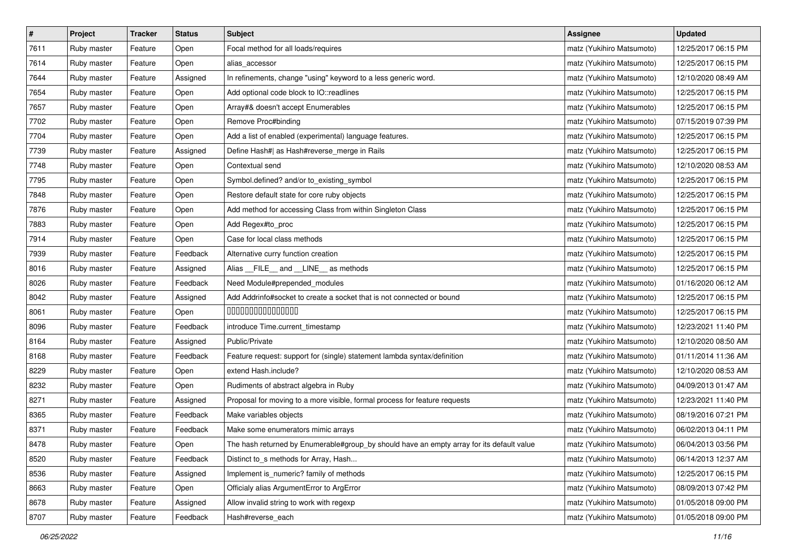| $\pmb{\#}$ | Project     | <b>Tracker</b> | <b>Status</b> | <b>Subject</b>                                                                            | <b>Assignee</b>           | <b>Updated</b>      |
|------------|-------------|----------------|---------------|-------------------------------------------------------------------------------------------|---------------------------|---------------------|
| 7611       | Ruby master | Feature        | Open          | Focal method for all loads/requires                                                       | matz (Yukihiro Matsumoto) | 12/25/2017 06:15 PM |
| 7614       | Ruby master | Feature        | Open          | alias_accessor                                                                            | matz (Yukihiro Matsumoto) | 12/25/2017 06:15 PM |
| 7644       | Ruby master | Feature        | Assigned      | In refinements, change "using" keyword to a less generic word.                            | matz (Yukihiro Matsumoto) | 12/10/2020 08:49 AM |
| 7654       | Ruby master | Feature        | Open          | Add optional code block to IO::readlines                                                  | matz (Yukihiro Matsumoto) | 12/25/2017 06:15 PM |
| 7657       | Ruby master | Feature        | Open          | Array#& doesn't accept Enumerables                                                        | matz (Yukihiro Matsumoto) | 12/25/2017 06:15 PM |
| 7702       | Ruby master | Feature        | Open          | Remove Proc#binding                                                                       | matz (Yukihiro Matsumoto) | 07/15/2019 07:39 PM |
| 7704       | Ruby master | Feature        | Open          | Add a list of enabled (experimental) language features.                                   | matz (Yukihiro Matsumoto) | 12/25/2017 06:15 PM |
| 7739       | Ruby master | Feature        | Assigned      | Define Hash#  as Hash#reverse_merge in Rails                                              | matz (Yukihiro Matsumoto) | 12/25/2017 06:15 PM |
| 7748       | Ruby master | Feature        | Open          | Contextual send                                                                           | matz (Yukihiro Matsumoto) | 12/10/2020 08:53 AM |
| 7795       | Ruby master | Feature        | Open          | Symbol.defined? and/or to_existing_symbol                                                 | matz (Yukihiro Matsumoto) | 12/25/2017 06:15 PM |
| 7848       | Ruby master | Feature        | Open          | Restore default state for core ruby objects                                               | matz (Yukihiro Matsumoto) | 12/25/2017 06:15 PM |
| 7876       | Ruby master | Feature        | Open          | Add method for accessing Class from within Singleton Class                                | matz (Yukihiro Matsumoto) | 12/25/2017 06:15 PM |
| 7883       | Ruby master | Feature        | Open          | Add Regex#to_proc                                                                         | matz (Yukihiro Matsumoto) | 12/25/2017 06:15 PM |
| 7914       | Ruby master | Feature        | Open          | Case for local class methods                                                              | matz (Yukihiro Matsumoto) | 12/25/2017 06:15 PM |
| 7939       | Ruby master | Feature        | Feedback      | Alternative curry function creation                                                       | matz (Yukihiro Matsumoto) | 12/25/2017 06:15 PM |
| 8016       | Ruby master | Feature        | Assigned      | Alias FILE and LINE as methods                                                            | matz (Yukihiro Matsumoto) | 12/25/2017 06:15 PM |
| 8026       | Ruby master | Feature        | Feedback      | Need Module#prepended_modules                                                             | matz (Yukihiro Matsumoto) | 01/16/2020 06:12 AM |
| 8042       | Ruby master | Feature        | Assigned      | Add Addrinfo#socket to create a socket that is not connected or bound                     | matz (Yukihiro Matsumoto) | 12/25/2017 06:15 PM |
| 8061       | Ruby master | Feature        | Open          | 000000000000000                                                                           | matz (Yukihiro Matsumoto) | 12/25/2017 06:15 PM |
| 8096       | Ruby master | Feature        | Feedback      | introduce Time.current_timestamp                                                          | matz (Yukihiro Matsumoto) | 12/23/2021 11:40 PM |
| 8164       | Ruby master | Feature        | Assigned      | Public/Private                                                                            | matz (Yukihiro Matsumoto) | 12/10/2020 08:50 AM |
| 8168       | Ruby master | Feature        | Feedback      | Feature request: support for (single) statement lambda syntax/definition                  | matz (Yukihiro Matsumoto) | 01/11/2014 11:36 AM |
| 8229       | Ruby master | Feature        | Open          | extend Hash.include?                                                                      | matz (Yukihiro Matsumoto) | 12/10/2020 08:53 AM |
| 8232       | Ruby master | Feature        | Open          | Rudiments of abstract algebra in Ruby                                                     | matz (Yukihiro Matsumoto) | 04/09/2013 01:47 AM |
| 8271       | Ruby master | Feature        | Assigned      | Proposal for moving to a more visible, formal process for feature requests                | matz (Yukihiro Matsumoto) | 12/23/2021 11:40 PM |
| 8365       | Ruby master | Feature        | Feedback      | Make variables objects                                                                    | matz (Yukihiro Matsumoto) | 08/19/2016 07:21 PM |
| 8371       | Ruby master | Feature        | Feedback      | Make some enumerators mimic arrays                                                        | matz (Yukihiro Matsumoto) | 06/02/2013 04:11 PM |
| 8478       | Ruby master | Feature        | Open          | The hash returned by Enumerable#group_by should have an empty array for its default value | matz (Yukihiro Matsumoto) | 06/04/2013 03:56 PM |
| 8520       | Ruby master | Feature        | Feedback      | Distinct to_s methods for Array, Hash                                                     | matz (Yukihiro Matsumoto) | 06/14/2013 12:37 AM |
| 8536       | Ruby master | Feature        | Assigned      | Implement is_numeric? family of methods                                                   | matz (Yukihiro Matsumoto) | 12/25/2017 06:15 PM |
| 8663       | Ruby master | Feature        | Open          | Officialy alias ArgumentError to ArgError                                                 | matz (Yukihiro Matsumoto) | 08/09/2013 07:42 PM |
| 8678       | Ruby master | Feature        | Assigned      | Allow invalid string to work with regexp                                                  | matz (Yukihiro Matsumoto) | 01/05/2018 09:00 PM |
| 8707       | Ruby master | Feature        | Feedback      | Hash#reverse_each                                                                         | matz (Yukihiro Matsumoto) | 01/05/2018 09:00 PM |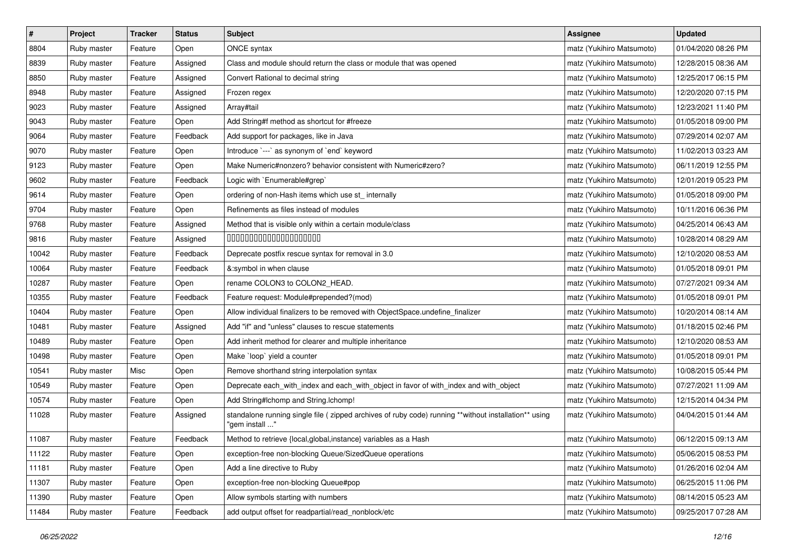| $\pmb{\#}$ | Project     | <b>Tracker</b> | <b>Status</b> | Subject                                                                                                                 | <b>Assignee</b>           | <b>Updated</b>      |
|------------|-------------|----------------|---------------|-------------------------------------------------------------------------------------------------------------------------|---------------------------|---------------------|
| 8804       | Ruby master | Feature        | Open          | ONCE syntax                                                                                                             | matz (Yukihiro Matsumoto) | 01/04/2020 08:26 PM |
| 8839       | Ruby master | Feature        | Assigned      | Class and module should return the class or module that was opened                                                      | matz (Yukihiro Matsumoto) | 12/28/2015 08:36 AM |
| 8850       | Ruby master | Feature        | Assigned      | Convert Rational to decimal string                                                                                      | matz (Yukihiro Matsumoto) | 12/25/2017 06:15 PM |
| 8948       | Ruby master | Feature        | Assigned      | Frozen regex                                                                                                            | matz (Yukihiro Matsumoto) | 12/20/2020 07:15 PM |
| 9023       | Ruby master | Feature        | Assigned      | Array#tail                                                                                                              | matz (Yukihiro Matsumoto) | 12/23/2021 11:40 PM |
| 9043       | Ruby master | Feature        | Open          | Add String#f method as shortcut for #freeze                                                                             | matz (Yukihiro Matsumoto) | 01/05/2018 09:00 PM |
| 9064       | Ruby master | Feature        | Feedback      | Add support for packages, like in Java                                                                                  | matz (Yukihiro Matsumoto) | 07/29/2014 02:07 AM |
| 9070       | Ruby master | Feature        | Open          | Introduce `---` as synonym of `end` keyword                                                                             | matz (Yukihiro Matsumoto) | 11/02/2013 03:23 AM |
| 9123       | Ruby master | Feature        | Open          | Make Numeric#nonzero? behavior consistent with Numeric#zero?                                                            | matz (Yukihiro Matsumoto) | 06/11/2019 12:55 PM |
| 9602       | Ruby master | Feature        | Feedback      | Logic with `Enumerable#grep`                                                                                            | matz (Yukihiro Matsumoto) | 12/01/2019 05:23 PM |
| 9614       | Ruby master | Feature        | Open          | ordering of non-Hash items which use st_ internally                                                                     | matz (Yukihiro Matsumoto) | 01/05/2018 09:00 PM |
| 9704       | Ruby master | Feature        | Open          | Refinements as files instead of modules                                                                                 | matz (Yukihiro Matsumoto) | 10/11/2016 06:36 PM |
| 9768       | Ruby master | Feature        | Assigned      | Method that is visible only within a certain module/class                                                               | matz (Yukihiro Matsumoto) | 04/25/2014 06:43 AM |
| 9816       | Ruby master | Feature        | Assigned      | 00000000000000000000                                                                                                    | matz (Yukihiro Matsumoto) | 10/28/2014 08:29 AM |
| 10042      | Ruby master | Feature        | Feedback      | Deprecate postfix rescue syntax for removal in 3.0                                                                      | matz (Yukihiro Matsumoto) | 12/10/2020 08:53 AM |
| 10064      | Ruby master | Feature        | Feedback      | &:symbol in when clause                                                                                                 | matz (Yukihiro Matsumoto) | 01/05/2018 09:01 PM |
| 10287      | Ruby master | Feature        | Open          | rename COLON3 to COLON2_HEAD.                                                                                           | matz (Yukihiro Matsumoto) | 07/27/2021 09:34 AM |
| 10355      | Ruby master | Feature        | Feedback      | Feature request: Module#prepended?(mod)                                                                                 | matz (Yukihiro Matsumoto) | 01/05/2018 09:01 PM |
| 10404      | Ruby master | Feature        | Open          | Allow individual finalizers to be removed with ObjectSpace.undefine_finalizer                                           | matz (Yukihiro Matsumoto) | 10/20/2014 08:14 AM |
| 10481      | Ruby master | Feature        | Assigned      | Add "if" and "unless" clauses to rescue statements                                                                      | matz (Yukihiro Matsumoto) | 01/18/2015 02:46 PM |
| 10489      | Ruby master | Feature        | Open          | Add inherit method for clearer and multiple inheritance                                                                 | matz (Yukihiro Matsumoto) | 12/10/2020 08:53 AM |
| 10498      | Ruby master | Feature        | Open          | Make `loop` yield a counter                                                                                             | matz (Yukihiro Matsumoto) | 01/05/2018 09:01 PM |
| 10541      | Ruby master | Misc           | Open          | Remove shorthand string interpolation syntax                                                                            | matz (Yukihiro Matsumoto) | 10/08/2015 05:44 PM |
| 10549      | Ruby master | Feature        | Open          | Deprecate each_with_index and each_with_object in favor of with_index and with_object                                   | matz (Yukihiro Matsumoto) | 07/27/2021 11:09 AM |
| 10574      | Ruby master | Feature        | Open          | Add String#Ichomp and String.Ichomp!                                                                                    | matz (Yukihiro Matsumoto) | 12/15/2014 04:34 PM |
| 11028      | Ruby master | Feature        | Assigned      | standalone running single file ( zipped archives of ruby code) running **without installation** using<br>" gem install" | matz (Yukihiro Matsumoto) | 04/04/2015 01:44 AM |
| 11087      | Ruby master | Feature        | Feedback      | Method to retrieve {local, global, instance} variables as a Hash                                                        | matz (Yukihiro Matsumoto) | 06/12/2015 09:13 AM |
| 11122      | Ruby master | Feature        | Open          | exception-free non-blocking Queue/SizedQueue operations                                                                 | matz (Yukihiro Matsumoto) | 05/06/2015 08:53 PM |
| 11181      | Ruby master | Feature        | Open          | Add a line directive to Ruby                                                                                            | matz (Yukihiro Matsumoto) | 01/26/2016 02:04 AM |
| 11307      | Ruby master | Feature        | Open          | exception-free non-blocking Queue#pop                                                                                   | matz (Yukihiro Matsumoto) | 06/25/2015 11:06 PM |
| 11390      | Ruby master | Feature        | Open          | Allow symbols starting with numbers                                                                                     | matz (Yukihiro Matsumoto) | 08/14/2015 05:23 AM |
| 11484      | Ruby master | Feature        | Feedback      | add output offset for readpartial/read_nonblock/etc                                                                     | matz (Yukihiro Matsumoto) | 09/25/2017 07:28 AM |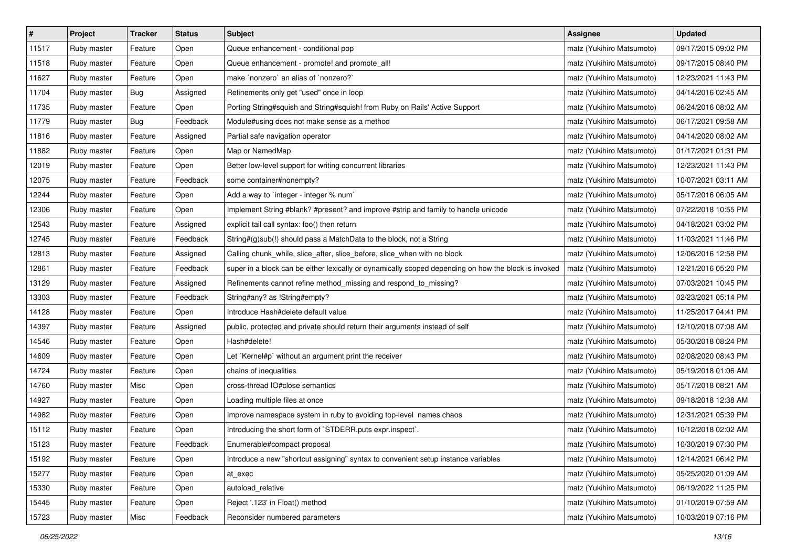| $\vert$ # | Project     | <b>Tracker</b> | <b>Status</b> | <b>Subject</b>                                                                                       | <b>Assignee</b>           | <b>Updated</b>      |
|-----------|-------------|----------------|---------------|------------------------------------------------------------------------------------------------------|---------------------------|---------------------|
| 11517     | Ruby master | Feature        | Open          | Queue enhancement - conditional pop                                                                  | matz (Yukihiro Matsumoto) | 09/17/2015 09:02 PM |
| 11518     | Ruby master | Feature        | Open          | Queue enhancement - promote! and promote_all!                                                        | matz (Yukihiro Matsumoto) | 09/17/2015 08:40 PM |
| 11627     | Ruby master | Feature        | Open          | make `nonzero` an alias of `nonzero?`                                                                | matz (Yukihiro Matsumoto) | 12/23/2021 11:43 PM |
| 11704     | Ruby master | <b>Bug</b>     | Assigned      | Refinements only get "used" once in loop                                                             | matz (Yukihiro Matsumoto) | 04/14/2016 02:45 AM |
| 11735     | Ruby master | Feature        | Open          | Porting String#squish and String#squish! from Ruby on Rails' Active Support                          | matz (Yukihiro Matsumoto) | 06/24/2016 08:02 AM |
| 11779     | Ruby master | <b>Bug</b>     | Feedback      | Module#using does not make sense as a method                                                         | matz (Yukihiro Matsumoto) | 06/17/2021 09:58 AM |
| 11816     | Ruby master | Feature        | Assigned      | Partial safe navigation operator                                                                     | matz (Yukihiro Matsumoto) | 04/14/2020 08:02 AM |
| 11882     | Ruby master | Feature        | Open          | Map or NamedMap                                                                                      | matz (Yukihiro Matsumoto) | 01/17/2021 01:31 PM |
| 12019     | Ruby master | Feature        | Open          | Better low-level support for writing concurrent libraries                                            | matz (Yukihiro Matsumoto) | 12/23/2021 11:43 PM |
| 12075     | Ruby master | Feature        | Feedback      | some container#nonempty?                                                                             | matz (Yukihiro Matsumoto) | 10/07/2021 03:11 AM |
| 12244     | Ruby master | Feature        | Open          | Add a way to `integer - integer % num`                                                               | matz (Yukihiro Matsumoto) | 05/17/2016 06:05 AM |
| 12306     | Ruby master | Feature        | Open          | Implement String #blank? #present? and improve #strip and family to handle unicode                   | matz (Yukihiro Matsumoto) | 07/22/2018 10:55 PM |
| 12543     | Ruby master | Feature        | Assigned      | explicit tail call syntax: foo() then return                                                         | matz (Yukihiro Matsumoto) | 04/18/2021 03:02 PM |
| 12745     | Ruby master | Feature        | Feedback      | String#(g)sub(!) should pass a MatchData to the block, not a String                                  | matz (Yukihiro Matsumoto) | 11/03/2021 11:46 PM |
| 12813     | Ruby master | Feature        | Assigned      | Calling chunk_while, slice_after, slice_before, slice_when with no block                             | matz (Yukihiro Matsumoto) | 12/06/2016 12:58 PM |
| 12861     | Ruby master | Feature        | Feedback      | super in a block can be either lexically or dynamically scoped depending on how the block is invoked | matz (Yukihiro Matsumoto) | 12/21/2016 05:20 PM |
| 13129     | Ruby master | Feature        | Assigned      | Refinements cannot refine method_missing and respond_to_missing?                                     | matz (Yukihiro Matsumoto) | 07/03/2021 10:45 PM |
| 13303     | Ruby master | Feature        | Feedback      | String#any? as !String#empty?                                                                        | matz (Yukihiro Matsumoto) | 02/23/2021 05:14 PM |
| 14128     | Ruby master | Feature        | Open          | Introduce Hash#delete default value                                                                  | matz (Yukihiro Matsumoto) | 11/25/2017 04:41 PM |
| 14397     | Ruby master | Feature        | Assigned      | public, protected and private should return their arguments instead of self                          | matz (Yukihiro Matsumoto) | 12/10/2018 07:08 AM |
| 14546     | Ruby master | Feature        | Open          | Hash#delete!                                                                                         | matz (Yukihiro Matsumoto) | 05/30/2018 08:24 PM |
| 14609     | Ruby master | Feature        | Open          | Let `Kernel#p` without an argument print the receiver                                                | matz (Yukihiro Matsumoto) | 02/08/2020 08:43 PM |
| 14724     | Ruby master | Feature        | Open          | chains of inequalities                                                                               | matz (Yukihiro Matsumoto) | 05/19/2018 01:06 AM |
| 14760     | Ruby master | Misc           | Open          | cross-thread IO#close semantics                                                                      | matz (Yukihiro Matsumoto) | 05/17/2018 08:21 AM |
| 14927     | Ruby master | Feature        | Open          | Loading multiple files at once                                                                       | matz (Yukihiro Matsumoto) | 09/18/2018 12:38 AM |
| 14982     | Ruby master | Feature        | Open          | Improve namespace system in ruby to avoiding top-level names chaos                                   | matz (Yukihiro Matsumoto) | 12/31/2021 05:39 PM |
| 15112     | Ruby master | Feature        | Open          | Introducing the short form of `STDERR.puts expr.inspect`.                                            | matz (Yukihiro Matsumoto) | 10/12/2018 02:02 AM |
| 15123     | Ruby master | Feature        | Feedback      | Enumerable#compact proposal                                                                          | matz (Yukihiro Matsumoto) | 10/30/2019 07:30 PM |
| 15192     | Ruby master | Feature        | Open          | Introduce a new "shortcut assigning" syntax to convenient setup instance variables                   | matz (Yukihiro Matsumoto) | 12/14/2021 06:42 PM |
| 15277     | Ruby master | Feature        | Open          | at exec                                                                                              | matz (Yukihiro Matsumoto) | 05/25/2020 01:09 AM |
| 15330     | Ruby master | Feature        | Open          | autoload_relative                                                                                    | matz (Yukihiro Matsumoto) | 06/19/2022 11:25 PM |
| 15445     | Ruby master | Feature        | Open          | Reject '.123' in Float() method                                                                      | matz (Yukihiro Matsumoto) | 01/10/2019 07:59 AM |
| 15723     | Ruby master | Misc           | Feedback      | Reconsider numbered parameters                                                                       | matz (Yukihiro Matsumoto) | 10/03/2019 07:16 PM |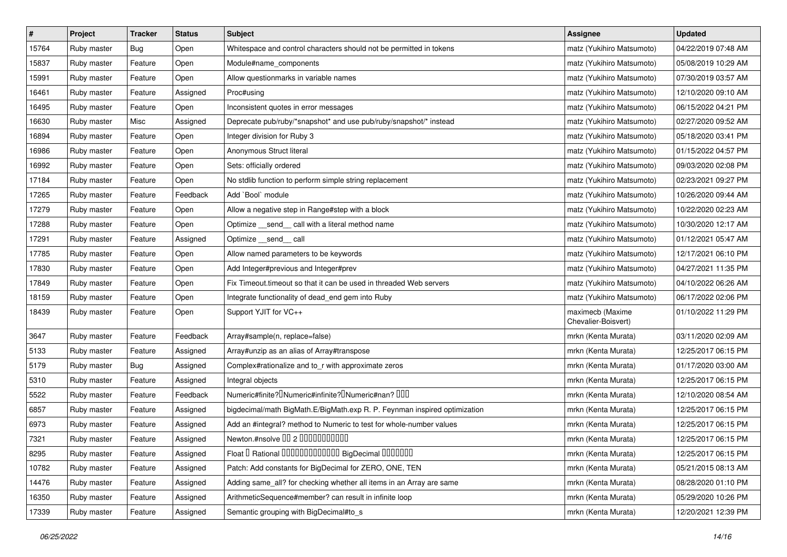| $\sharp$ | Project     | <b>Tracker</b> | <b>Status</b> | <b>Subject</b>                                                            | <b>Assignee</b>                         | <b>Updated</b>      |
|----------|-------------|----------------|---------------|---------------------------------------------------------------------------|-----------------------------------------|---------------------|
| 15764    | Ruby master | <b>Bug</b>     | Open          | Whitespace and control characters should not be permitted in tokens       | matz (Yukihiro Matsumoto)               | 04/22/2019 07:48 AM |
| 15837    | Ruby master | Feature        | Open          | Module#name_components                                                    | matz (Yukihiro Matsumoto)               | 05/08/2019 10:29 AM |
| 15991    | Ruby master | Feature        | Open          | Allow questionmarks in variable names                                     | matz (Yukihiro Matsumoto)               | 07/30/2019 03:57 AM |
| 16461    | Ruby master | Feature        | Assigned      | Proc#using                                                                | matz (Yukihiro Matsumoto)               | 12/10/2020 09:10 AM |
| 16495    | Ruby master | Feature        | Open          | Inconsistent quotes in error messages                                     | matz (Yukihiro Matsumoto)               | 06/15/2022 04:21 PM |
| 16630    | Ruby master | Misc           | Assigned      | Deprecate pub/ruby/*snapshot* and use pub/ruby/snapshot/* instead         | matz (Yukihiro Matsumoto)               | 02/27/2020 09:52 AM |
| 16894    | Ruby master | Feature        | Open          | Integer division for Ruby 3                                               | matz (Yukihiro Matsumoto)               | 05/18/2020 03:41 PM |
| 16986    | Ruby master | Feature        | Open          | Anonymous Struct literal                                                  | matz (Yukihiro Matsumoto)               | 01/15/2022 04:57 PM |
| 16992    | Ruby master | Feature        | Open          | Sets: officially ordered                                                  | matz (Yukihiro Matsumoto)               | 09/03/2020 02:08 PM |
| 17184    | Ruby master | Feature        | Open          | No stdlib function to perform simple string replacement                   | matz (Yukihiro Matsumoto)               | 02/23/2021 09:27 PM |
| 17265    | Ruby master | Feature        | Feedback      | Add `Bool` module                                                         | matz (Yukihiro Matsumoto)               | 10/26/2020 09:44 AM |
| 17279    | Ruby master | Feature        | Open          | Allow a negative step in Range#step with a block                          | matz (Yukihiro Matsumoto)               | 10/22/2020 02:23 AM |
| 17288    | Ruby master | Feature        | Open          | Optimize _send _call with a literal method name                           | matz (Yukihiro Matsumoto)               | 10/30/2020 12:17 AM |
| 17291    | Ruby master | Feature        | Assigned      | Optimize __send__ call                                                    | matz (Yukihiro Matsumoto)               | 01/12/2021 05:47 AM |
| 17785    | Ruby master | Feature        | Open          | Allow named parameters to be keywords                                     | matz (Yukihiro Matsumoto)               | 12/17/2021 06:10 PM |
| 17830    | Ruby master | Feature        | Open          | Add Integer#previous and Integer#prev                                     | matz (Yukihiro Matsumoto)               | 04/27/2021 11:35 PM |
| 17849    | Ruby master | Feature        | Open          | Fix Timeout.timeout so that it can be used in threaded Web servers        | matz (Yukihiro Matsumoto)               | 04/10/2022 06:26 AM |
| 18159    | Ruby master | Feature        | Open          | Integrate functionality of dead_end gem into Ruby                         | matz (Yukihiro Matsumoto)               | 06/17/2022 02:06 PM |
| 18439    | Ruby master | Feature        | Open          | Support YJIT for VC++                                                     | maximecb (Maxime<br>Chevalier-Boisvert) | 01/10/2022 11:29 PM |
| 3647     | Ruby master | Feature        | Feedback      | Array#sample(n, replace=false)                                            | mrkn (Kenta Murata)                     | 03/11/2020 02:09 AM |
| 5133     | Ruby master | Feature        | Assigned      | Array#unzip as an alias of Array#transpose                                | mrkn (Kenta Murata)                     | 12/25/2017 06:15 PM |
| 5179     | Ruby master | Bug            | Assigned      | Complex#rationalize and to_r with approximate zeros                       | mrkn (Kenta Murata)                     | 01/17/2020 03:00 AM |
| 5310     | Ruby master | Feature        | Assigned      | Integral objects                                                          | mrkn (Kenta Murata)                     | 12/25/2017 06:15 PM |
| 5522     | Ruby master | Feature        | Feedback      | Numeric#finite? UNumeric#infinite? UNumeric#nan? UUU                      | mrkn (Kenta Murata)                     | 12/10/2020 08:54 AM |
| 6857     | Ruby master | Feature        | Assigned      | bigdecimal/math BigMath.E/BigMath.exp R. P. Feynman inspired optimization | mrkn (Kenta Murata)                     | 12/25/2017 06:15 PM |
| 6973     | Ruby master | Feature        | Assigned      | Add an #integral? method to Numeric to test for whole-number values       | mrkn (Kenta Murata)                     | 12/25/2017 06:15 PM |
| 7321     | Ruby master | Feature        | Assigned      | Newton.#nsolve 00 2 00000000000                                           | mrkn (Kenta Murata)                     | 12/25/2017 06:15 PM |
| 8295     | Ruby master | Feature        | Assigned      | Float I Rational 0000000000000 BigDecimal 0000000                         | mrkn (Kenta Murata)                     | 12/25/2017 06:15 PM |
| 10782    | Ruby master | Feature        | Assigned      | Patch: Add constants for BigDecimal for ZERO, ONE, TEN                    | mrkn (Kenta Murata)                     | 05/21/2015 08:13 AM |
| 14476    | Ruby master | Feature        | Assigned      | Adding same_all? for checking whether all items in an Array are same      | mrkn (Kenta Murata)                     | 08/28/2020 01:10 PM |
| 16350    | Ruby master | Feature        | Assigned      | ArithmeticSequence#member? can result in infinite loop                    | mrkn (Kenta Murata)                     | 05/29/2020 10:26 PM |
| 17339    | Ruby master | Feature        | Assigned      | Semantic grouping with BigDecimal#to_s                                    | mrkn (Kenta Murata)                     | 12/20/2021 12:39 PM |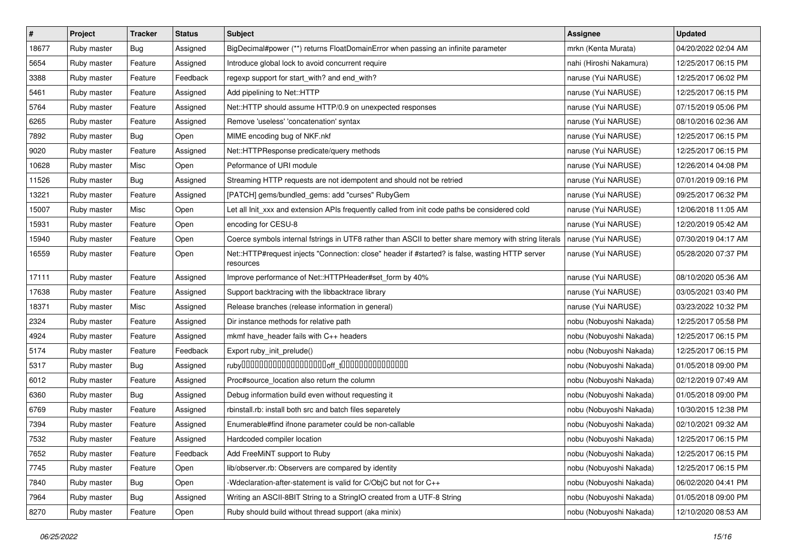| $\sharp$ | Project     | <b>Tracker</b> | <b>Status</b> | Subject                                                                                                      | <b>Assignee</b>         | <b>Updated</b>      |
|----------|-------------|----------------|---------------|--------------------------------------------------------------------------------------------------------------|-------------------------|---------------------|
| 18677    | Ruby master | Bug            | Assigned      | BigDecimal#power (**) returns FloatDomainError when passing an infinite parameter                            | mrkn (Kenta Murata)     | 04/20/2022 02:04 AM |
| 5654     | Ruby master | Feature        | Assigned      | Introduce global lock to avoid concurrent require                                                            | nahi (Hiroshi Nakamura) | 12/25/2017 06:15 PM |
| 3388     | Ruby master | Feature        | Feedback      | regexp support for start_with? and end_with?                                                                 | naruse (Yui NARUSE)     | 12/25/2017 06:02 PM |
| 5461     | Ruby master | Feature        | Assigned      | Add pipelining to Net::HTTP                                                                                  | naruse (Yui NARUSE)     | 12/25/2017 06:15 PM |
| 5764     | Ruby master | Feature        | Assigned      | Net::HTTP should assume HTTP/0.9 on unexpected responses                                                     | naruse (Yui NARUSE)     | 07/15/2019 05:06 PM |
| 6265     | Ruby master | Feature        | Assigned      | Remove 'useless' 'concatenation' syntax                                                                      | naruse (Yui NARUSE)     | 08/10/2016 02:36 AM |
| 7892     | Ruby master | Bug            | Open          | MIME encoding bug of NKF.nkf                                                                                 | naruse (Yui NARUSE)     | 12/25/2017 06:15 PM |
| 9020     | Ruby master | Feature        | Assigned      | Net::HTTPResponse predicate/query methods                                                                    | naruse (Yui NARUSE)     | 12/25/2017 06:15 PM |
| 10628    | Ruby master | Misc           | Open          | Peformance of URI module                                                                                     | naruse (Yui NARUSE)     | 12/26/2014 04:08 PM |
| 11526    | Ruby master | Bug            | Assigned      | Streaming HTTP requests are not idempotent and should not be retried                                         | naruse (Yui NARUSE)     | 07/01/2019 09:16 PM |
| 13221    | Ruby master | Feature        | Assigned      | [PATCH] gems/bundled_gems: add "curses" RubyGem                                                              | naruse (Yui NARUSE)     | 09/25/2017 06:32 PM |
| 15007    | Ruby master | Misc           | Open          | Let all Init xxx and extension APIs frequently called from init code paths be considered cold                | naruse (Yui NARUSE)     | 12/06/2018 11:05 AM |
| 15931    | Ruby master | Feature        | Open          | encoding for CESU-8                                                                                          | naruse (Yui NARUSE)     | 12/20/2019 05:42 AM |
| 15940    | Ruby master | Feature        | Open          | Coerce symbols internal fstrings in UTF8 rather than ASCII to better share memory with string literals       | naruse (Yui NARUSE)     | 07/30/2019 04:17 AM |
| 16559    | Ruby master | Feature        | Open          | Net::HTTP#request injects "Connection: close" header if #started? is false, wasting HTTP server<br>resources | naruse (Yui NARUSE)     | 05/28/2020 07:37 PM |
| 17111    | Ruby master | Feature        | Assigned      | Improve performance of Net::HTTPHeader#set_form by 40%                                                       | naruse (Yui NARUSE)     | 08/10/2020 05:36 AM |
| 17638    | Ruby master | Feature        | Assigned      | Support backtracing with the libbacktrace library                                                            | naruse (Yui NARUSE)     | 03/05/2021 03:40 PM |
| 18371    | Ruby master | Misc           | Assigned      | Release branches (release information in general)                                                            | naruse (Yui NARUSE)     | 03/23/2022 10:32 PM |
| 2324     | Ruby master | Feature        | Assigned      | Dir instance methods for relative path                                                                       | nobu (Nobuyoshi Nakada) | 12/25/2017 05:58 PM |
| 4924     | Ruby master | Feature        | Assigned      | mkmf have_header fails with C++ headers                                                                      | nobu (Nobuyoshi Nakada) | 12/25/2017 06:15 PM |
| 5174     | Ruby master | Feature        | Feedback      | Export ruby_init_prelude()                                                                                   | nobu (Nobuyoshi Nakada) | 12/25/2017 06:15 PM |
| 5317     | Ruby master | Bug            | Assigned      |                                                                                                              | nobu (Nobuyoshi Nakada) | 01/05/2018 09:00 PM |
| 6012     | Ruby master | Feature        | Assigned      | Proc#source_location also return the column                                                                  | nobu (Nobuyoshi Nakada) | 02/12/2019 07:49 AM |
| 6360     | Ruby master | Bug            | Assigned      | Debug information build even without requesting it                                                           | nobu (Nobuyoshi Nakada) | 01/05/2018 09:00 PM |
| 6769     | Ruby master | Feature        | Assigned      | rbinstall.rb: install both src and batch files separetely                                                    | nobu (Nobuyoshi Nakada) | 10/30/2015 12:38 PM |
| 7394     | Ruby master | Feature        | Assigned      | Enumerable#find ifnone parameter could be non-callable                                                       | nobu (Nobuyoshi Nakada) | 02/10/2021 09:32 AM |
| 7532     | Ruby master | Feature        | Assigned      | Hardcoded compiler location                                                                                  | nobu (Nobuyoshi Nakada) | 12/25/2017 06:15 PM |
| 7652     | Ruby master | Feature        | Feedback      | Add FreeMiNT support to Ruby                                                                                 | nobu (Nobuyoshi Nakada) | 12/25/2017 06:15 PM |
| 7745     | Ruby master | Feature        | Open          | lib/observer.rb: Observers are compared by identity                                                          | nobu (Nobuyoshi Nakada) | 12/25/2017 06:15 PM |
| 7840     | Ruby master | Bug            | Open          | Wdeclaration-after-statement is valid for C/ObjC but not for C++                                             | nobu (Nobuyoshi Nakada) | 06/02/2020 04:41 PM |
| 7964     | Ruby master | <b>Bug</b>     | Assigned      | Writing an ASCII-8BIT String to a StringIO created from a UTF-8 String                                       | nobu (Nobuyoshi Nakada) | 01/05/2018 09:00 PM |
| 8270     | Ruby master | Feature        | Open          | Ruby should build without thread support (aka minix)                                                         | nobu (Nobuyoshi Nakada) | 12/10/2020 08:53 AM |